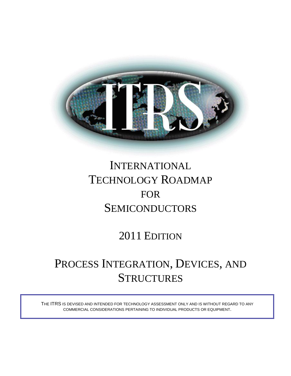

# INTERNATIONAL TECHNOLOGY ROADMAP FOR SEMICONDUCTORS

# 2011 EDITION

# PROCESS INTEGRATION, DEVICES, AND **STRUCTURES**

THE ITRS IS DEVISED AND INTENDED FOR TECHNOLOGY ASSESSMENT ONLY AND IS WITHOUT REGARD TO ANY COMMERCIAL CONSIDERATIONS PERTAINING TO INDIVIDUAL PRODUCTS OR EQUIPMENT.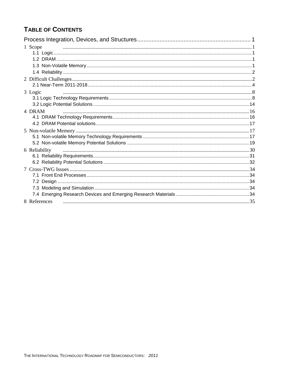# **TABLE OF CONTENTS**

| 1 Scope       |  |
|---------------|--|
|               |  |
|               |  |
|               |  |
| 3 Logic       |  |
|               |  |
|               |  |
| 4 DRAM        |  |
|               |  |
|               |  |
|               |  |
|               |  |
|               |  |
| 6 Reliability |  |
|               |  |
|               |  |
|               |  |
|               |  |
|               |  |
|               |  |
| 8 References  |  |
|               |  |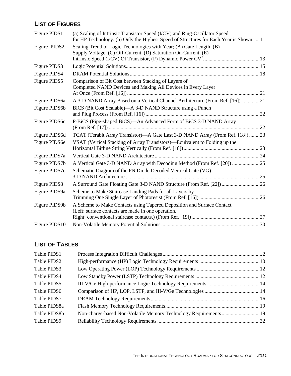# **LIST OF FIGURES**

| Figure PIDS1  | (a) Scaling of Intrinsic Transistor Speed (I/CV) and Ring-Oscillator Speed<br>for HP Technology. (b) Only the Highest Speed of Structures for Each Year is Shown.  11 |  |
|---------------|-----------------------------------------------------------------------------------------------------------------------------------------------------------------------|--|
| Figure PIDS2  | Scaling Trend of Logic Technologies with Year; (A) Gate Length, (B)<br>Supply Voltage, (C) Off-Current, (D) Saturation On-Current, (E)                                |  |
| Figure PIDS3  |                                                                                                                                                                       |  |
| Figure PIDS4  |                                                                                                                                                                       |  |
| Figure PIDS5  | Comparison of Bit Cost between Stacking of Layers of<br>Completed NAND Devices and Making All Devices in Every Layer                                                  |  |
| Figure PIDS6a | A 3-D NAND Array Based on a Vertical Channel Architecture (From Ref. [16]) 21                                                                                         |  |
| Figure PIDS6b | BiCS (Bit Cost Scalable)—A 3-D NAND Structure using a Punch                                                                                                           |  |
| Figure PIDS6c | P-BiCS (Pipe-shaped BiCS)-An Advanced Form of BiCS 3-D NAND Array                                                                                                     |  |
| Figure PIDS6d | TCAT (Terabit Array Transistor)—A Gate Last 3-D NAND Array (From Ref. [18]) 23                                                                                        |  |
| Figure PIDS6e | VSAT (Vertical Stacking of Array Transistors)—Equivalent to Folding up the                                                                                            |  |
| Figure PIDS7a |                                                                                                                                                                       |  |
| Figure PIDS7b |                                                                                                                                                                       |  |
| Figure PIDS7c | Schematic Diagram of the PN Diode Decoded Vertical Gate (VG)                                                                                                          |  |
| Figure PIDS8  |                                                                                                                                                                       |  |
| Figure PIDS9a | Scheme to Make Staircase Landing Pads for all Layers by                                                                                                               |  |
| Figure PIDS9b | A Scheme to Make Contacts using Tapered Deposition and Surface Contact<br>(Left: surface contacts are made in one operation.                                          |  |
|               |                                                                                                                                                                       |  |
| Figure PIDS10 |                                                                                                                                                                       |  |

# **LIST OF TABLES**

| Table PIDS1  |                                                                  |  |
|--------------|------------------------------------------------------------------|--|
| Table PIDS2  |                                                                  |  |
| Table PIDS3  |                                                                  |  |
| Table PIDS4  |                                                                  |  |
| Table PIDS5  |                                                                  |  |
| Table PIDS6  |                                                                  |  |
| Table PIDS7  |                                                                  |  |
| Table PIDS8a |                                                                  |  |
| Table PIDS8b | Non-charge-based Non-Volatile Memory Technology Requirements  19 |  |
| Table PIDS9  |                                                                  |  |
|              |                                                                  |  |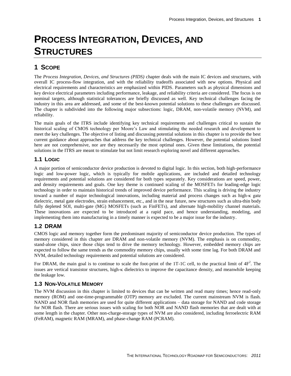# <span id="page-4-0"></span>**PROCESS INTEGRATION, DEVICES, AND STRUCTURES**

# <span id="page-4-1"></span>**1 SCOPE**

The *Process Integration, Devices, and Structures (PIDS)* chapter deals with the main IC devices and structures, with overall IC process-flow integration, and with the reliability tradeoffs associated with new options. Physical and electrical requirements and characteristics are emphasized within PIDS. Parameters such as physical dimensions and key device electrical parameters including performance, leakage, and reliability criteria are considered. The focus is on nominal targets, although statistical tolerances are briefly discussed as well. Key technical challenges facing the industry in this area are addressed, and some of the best-known potential solutions to these challenges are discussed. The chapter is subdivided into the following major subsections: logic, DRAM, non-volatile memory (NVM), and reliability.

The main goals of the ITRS include identifying key technical requirements and challenges critical to sustain the historical scaling of CMOS technology per Moore's Law and stimulating the needed research and development to meet the key challenges. The objective of listing and discussing potential solutions in this chapter is to provide the best current guidance about approaches that address the key technical challenges. However, the potential solutions listed here are not comprehensive, nor are they necessarily the most optimal ones. Given these limitations, the potential solutions in the ITRS are meant to stimulate but not limit research exploring novel and different approaches.

# <span id="page-4-2"></span>**1.1 LOGIC**

A major portion of semiconductor device production is devoted to digital logic. In this section, both high-performance logic and low-power logic, which is typically for mobile applications, are included and detailed technology requirements and potential solutions are considered for both types separately. Key considerations are speed, power, and density requirements and goals. One key theme is continued scaling of the MOSFETs for leading-edge logic technology in order to maintain historical trends of improved device performance. This scaling is driving the industry toward a number of major technological innovations, including material and process changes such as high-κ gate dielectric, metal gate electrodes, strain enhancement, etc., and in the near future, new structures such as ultra-thin body fully depleted SOI, multi-gate (MG) MOSFETs (such as FinFETs), and alternate high-mobility channel materials. These innovations are expected to be introduced at a rapid pace, and hence understanding, modeling, and implementing them into manufacturing in a timely manner is expected to be a major issue for the industry.

# <span id="page-4-3"></span>**1.2 DRAM**

CMOS logic and memory together form the predominant majority of semiconductor device production. The types of memory considered in this chapter are DRAM and non-volatile memory (NVM). The emphasis is on commodity, stand-alone chips, since those chips tend to drive the memory technology. However, embedded memory chips are expected to follow the same trends as the commodity memory chips, usually with some time lag. For both DRAM and NVM, detailed technology requirements and potential solutions are considered.

For DRAM, the main goal is to continue to scale the foot-print of the 1T-1C cell, to the practical limit of  $4F<sup>2</sup>$ . The issues are vertical transistor structures, high- $\kappa$  dielectrics to improve the capacitance density, and meanwhile keeping the leakage low.

# <span id="page-4-4"></span>**1.3 NON-VOLATILE MEMORY**

The NVM discussion in this chapter is limited to devices that can be written and read many times; hence read-only memory (ROM) and one-time-programmable (OTP) memory are excluded. The current mainstream NVM is flash. NAND and NOR flash memories are used for quite different applications – data storage for NAND and code storage for NOR flash. There are serious issues with scaling for both NOR and NAND flash memories that are dealt with at some length in the chapter. Other non-charge-storage types of NVM are also considered, including ferroelectric RAM (FeRAM), magnetic RAM (MRAM), and phase-change RAM (PCRAM).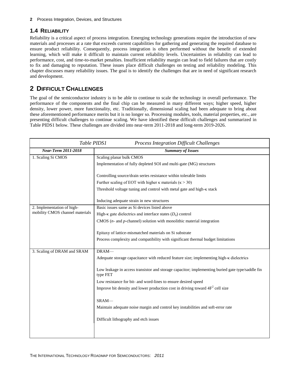# <span id="page-5-0"></span>**1.4 RELIABILITY**

Reliability is a critical aspect of process integration. Emerging technology generations require the introduction of new materials and processes at a rate that exceeds current capabilities for gathering and generating the required database to ensure product reliability. Consequently, process integration is often performed without the benefit of extended learning, which will make it difficult to maintain current reliability levels. Uncertainties in reliability can lead to performance, cost, and time-to-market penalties. Insufficient reliability margin can lead to field failures that are costly to fix and damaging to reputation. These issues place difficult challenges on testing and reliability modeling. This chapter discusses many reliability issues. The goal is to identify the challenges that are in need of significant research and development.

# <span id="page-5-1"></span>**2 DIFFICULT CHALLENGES**

The goal of the semiconductor industry is to be able to continue to scale the technology in overall performance. The performance of the components and the final chip can be measured in many different ways; higher speed, higher density, lower power, more functionality, etc. Traditionally, dimensional scaling had been adequate to bring about these aforementioned performance merits but it is no longer so. Processing modules, tools, material properties, etc., are presenting difficult challenges to continue scaling. We have identified these difficult challenges and summarized in Table PIDS1 below. These challenges are divided into near-term 2011-2018 and long-term 2019-2026.

<span id="page-5-2"></span>

| Table PIDS1<br><b>Process Integration Difficult Challenges</b> |                                                                                                              |  |  |
|----------------------------------------------------------------|--------------------------------------------------------------------------------------------------------------|--|--|
| <b>Near-Term 2011-2018</b>                                     | <b>Summary of Issues</b>                                                                                     |  |  |
| 1. Scaling Si CMOS                                             | Scaling planar bulk CMOS                                                                                     |  |  |
|                                                                | Implementation of fully depleted SOI and multi-gate (MG) structures                                          |  |  |
|                                                                | Controlling source/drain series resistance within tolerable limits                                           |  |  |
|                                                                | Further scaling of EOT with higher $\kappa$ materials ( $\kappa$ > 30)                                       |  |  |
|                                                                | Threshold voltage tuning and control with metal gate and high-K stack                                        |  |  |
|                                                                | Inducing adequate strain in new structures                                                                   |  |  |
| 2. Implementation of high-                                     | Basic issues same as Si devices listed above                                                                 |  |  |
| mobility CMOS channel materials                                | High- $\kappa$ gate dielectrics and interface states $(D_{it})$ control                                      |  |  |
|                                                                | CMOS $(n-$ and $p$ -channel) solution with monolithic material integration                                   |  |  |
|                                                                | Epitaxy of lattice-mismatched materials on Si substrate                                                      |  |  |
|                                                                | Process complexity and compatibility with significant thermal budget limitations                             |  |  |
| 3. Scaling of DRAM and SRAM                                    | DRAM-                                                                                                        |  |  |
|                                                                | Adequate storage capacitance with reduced feature size; implementing high-k dielectrics                      |  |  |
|                                                                | Low leakage in access transistor and storage capacitor; implementing buried gate type/saddle fin<br>type FET |  |  |
|                                                                | Low resistance for bit- and word-lines to ensure desired speed                                               |  |  |
|                                                                | Improve bit density and lower production cost in driving toward $4F2$ cell size                              |  |  |
|                                                                | SRAM-                                                                                                        |  |  |
|                                                                | Maintain adequate noise margin and control key instabilities and soft-error rate                             |  |  |
|                                                                | Difficult lithography and etch issues                                                                        |  |  |
|                                                                |                                                                                                              |  |  |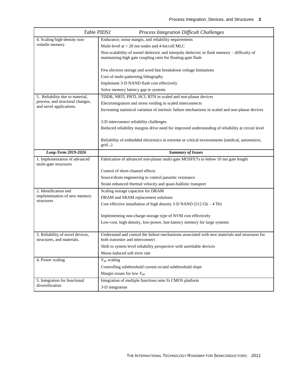|                                                                | Table PIDS1<br><b>Process Integration Difficult Challenges</b>                                                                                                |
|----------------------------------------------------------------|---------------------------------------------------------------------------------------------------------------------------------------------------------------|
| 4. Scaling high-density non-                                   | Endurance, noise margin, and reliability requirements                                                                                                         |
| volatile memory                                                | Multi-level at $<$ 20 nm nodes and 4-bit/cell MLC                                                                                                             |
|                                                                | Non-scalability of tunnel dielectric and interpoly dielectric in flash memory – difficulty of<br>maintaining high gate coupling ratio for floating-gate flash |
|                                                                | Few electron storage and word line breakdown voltage limitations                                                                                              |
|                                                                | Cost of multi-patterning lithography                                                                                                                          |
|                                                                | Implement 3-D NAND flash cost effectively                                                                                                                     |
|                                                                | Solve memory latency gap in systems                                                                                                                           |
| 5. Reliability due to material,                                | TDDB, NBTI, PBTI, HCI, RTN in scaled and non-planar devices                                                                                                   |
| process, and structural changes,<br>and novel applications.    | Electromigration and stress voiding in scaled interconnects                                                                                                   |
|                                                                | Increasing statistical variation of intrinsic failure mechanisms in scaled and non-planar devices                                                             |
|                                                                | 3-D interconnect reliability challenges                                                                                                                       |
|                                                                | Reduced reliability margins drive need for improved understanding of reliability at circuit level                                                             |
|                                                                | Reliability of embedded electronics in extreme or critical environments (medical, automotive,<br>grid)                                                        |
| Long-Term 2019-2026                                            | <b>Summary of Issues</b>                                                                                                                                      |
| 1. Implementation of advanced                                  | Fabrication of advanced non-planar multi-gate MOSFETs to below 10 nm gate length                                                                              |
| multi-gate structures                                          |                                                                                                                                                               |
|                                                                | Control of short-channel effects                                                                                                                              |
|                                                                | Source/drain engineering to control parasitic resistance                                                                                                      |
|                                                                | Strain enhanced thermal velocity and quasi-ballistic transport                                                                                                |
| 2. Identification and                                          | Scaling storage capacitor for DRAM                                                                                                                            |
| implementation of new memory                                   | DRAM and SRAM replacement solutions                                                                                                                           |
| structures                                                     | Cost effective installation of high density 3-D NAND ( $512$ Gb $-4$ Tb)                                                                                      |
|                                                                | Implementing non-charge-storage type of NVM cost effectively                                                                                                  |
|                                                                | Low-cost, high-density, low-power, fast-latency memory for large systems                                                                                      |
|                                                                | Understand and control the failure mechanisms associated with new materials and structures for                                                                |
| 3. Reliability of novel devices,<br>structures, and materials. | both transistor and interconnect                                                                                                                              |
|                                                                | Shift to system level reliability perspective with unreliable devices                                                                                         |
|                                                                | Muon-induced soft error rate                                                                                                                                  |
| 4. Power scaling                                               | $V_{dd}$ scaling                                                                                                                                              |
|                                                                | Controlling subthreshold current or/and subthreshold slope                                                                                                    |
|                                                                | Margin issues for low $V_{dd}$                                                                                                                                |
| 5. Integration for functional<br>diversification               | Integration of multiple functions onto Si CMOS platform                                                                                                       |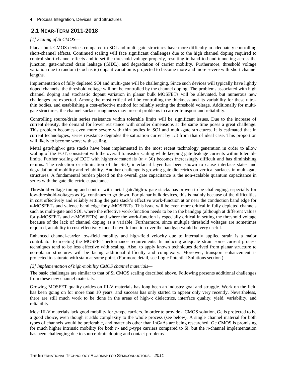# <span id="page-7-0"></span>**2.1 NEAR-TERM 2011-2018**

## *[1] Scaling of Si CMOS—*

Planar bulk CMOS devices compared to SOI and multi-gate structures have more difficulty in adequately controlling short-channel effects. Continued scaling will face significant challenges due to the high channel doping required to control short-channel effects and to set the threshold voltage properly, resulting in band-to-band tunneling across the junction, gate-induced drain leakage (GIDL), and degradation of carrier mobility. Furthermore, threshold voltage variation due to random (stochastic) dopant variation is projected to become more and more severe with short channel lengths.

Implementation of fully depleted SOI and multi-gate will be challenging. Since such devices will typically have lightly doped channels, the threshold voltage will not be controlled by the channel doping. The problems associated with high channel doping and stochastic dopant variation in planar bulk MOSFETs will be alleviated, but numerous new challenges are expected. Among the most critical will be controlling the thickness and its variability for these ultrathin bodies, and establishing a cost-effective method for reliably setting the threshold voltage. Additionally for multigate structures, the channel surface roughness may present problems in carrier transport and reliability.

Controlling source/drain series resistance within tolerable limits will be significant issues. Due to the increase of current density, the demand for lower resistance with smaller dimensions at the same time poses a great challenge. This problem becomes even more severe with thin bodies in SOI and multi-gate structures. It is estimated that in current technologies, series resistance degrades the saturation current by 1/3 from that of ideal case. This proportion will likely to become worst with scaling.

Metal gate/high- $\kappa$  gate stacks have been implemented in the most recent technology generation in order to allow scaling of the EOT, consistent with the overall transistor scaling while keeping gate leakage currents within tolerable limits. Further scaling of EOT with higher-κ materials ( $\kappa > 30$ ) becomes increasingly difficult and has diminishing returns. The reduction or elimination of the  $SiO<sub>2</sub>$  interfacial layer has been shown to cause interface states and degradation of mobility and reliability. Another challenge is growing gate dielectrics on vertical surfaces in multi-gate structures. A fundamental burden placed on the overall gate capacitance is the non-scalable quantum capacitance in series with the gate dielectric capacitance.

Threshold-voltage tuning and control with metal gate/high- $\kappa$  gate stacks has proven to be challenging, especially for low-threshold-voltages as  $V_{dd}$  continues to go down. For planar bulk devices, this is mainly because of the difficulties in cost effectively and reliably setting the gate stack's effective work-function at or near the conduction band edge for *n*-MOSFETs and valence band edge for *p*-MOSFETs. This issue will be even more critical in fully depleted channels such as multi-gate and SOI, where the effective work-function needs to be in the bandgap (although at different values for *p*-MOSFETs and *n*-MOSFETs), and where the work-function is especially critical in setting the threshold voltage because of the lack of channel doping as a variable. Furthermore, since multiple threshold voltages are sometimes required, an ability to cost effectively tune the work-function over the bandgap would be very useful.

Enhanced channel-carrier low-field mobility and high-field velocity due to internally applied strain is a major contributor to meeting the MOSFET performance requirements. In inducing adequate strain some current process techniques tend to be less effective with scaling. Also, to apply known techniques derived from planar structure to non-planar structures will be facing additional difficulty and complexity. Moreover, transport enhancement is projected to saturate with stain at some point. (For more detail, see Logic Potential Solutions section.)

#### *[2] Implementation of high-mobility CMOS channel materials—*

The basic challenges are similar to that of Si CMOS scaling described above. Following presents additional challenges from these new channel materials.

Growing MOSFET quality oxides on III-V materials has long been an industry goal and struggle. Work on the field has been going on for more than 10 years, and success has only started to appear only very recently. Nevertheless, there are still much work to be done in the areas of high- $\kappa$  dielectrics, interface quality, yield, variability, and reliability.

Most III-V materials lack good mobility for *p*-type carriers. In order to provide a CMOS solution, Ge is projected to be a good choice, even though it adds complexity to the whole process (see below). A single channel material for both types of channels would be preferable, and materials other than InGaAs are being researched. Ge CMOS is promising for much higher intrinsic mobility for both *n*- and *p*-type carriers compared to Si, but the *n*-channel implementation has been challenging due to source-drain doping and contact problems.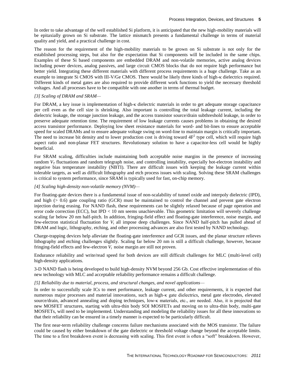In order to take advantage of the well established Si platform, it is anticipated that the new high-mobility materials will be epitaxially grown on Si substrate. The lattice mismatch presents a fundamental challenge in terms of material quality and yield, and a practical challenge in cost.

The reason for the requirement of the high-mobility materials to be grown on Si substrate is not only for the established processing steps, but also for the expectation that Si components will be included in the same chips. Examples of these Si based components are embedded DRAM and non-volatile memories, active analog devices including power devices, analog passives, and large circuit CMOS blocks that do not require high performance but better yield. Integrating these different materials with different process requirements is a huge challenge. Take as an example to integrate Si CMOS with III-V/Ge CMOS. There would be likely three kinds of high- $\kappa$  dielectrics required. Different kinds of metal gates are also required to provide different work functions to yield the necessary threshold voltages. And all processes have to be compatible with one another in terms of thermal budget.

#### *[3] Scaling of DRAM and SRAM—*

For DRAM, a key issue is implementation of high-κ dielectric materials in order to get adequate storage capacitance per cell even as the cell size is shrinking. Also important is controlling the total leakage current, including the dielectric leakage, the storage junction leakage, and the access transistor source/drain subthreshold leakage, in order to preserve adequate retention time. The requirement of low leakage currents causes problems in obtaining the desired access transistor performance. Deploying low sheet resistance materials for word- and bit-lines to ensure acceptable speed for scaled DRAMs and to ensure adequate voltage swing on word-line to maintain margin is critically important**.** The need to increase bit density and to lower production cost is driving toward  $4F<sup>2</sup>$  type cell, which will require high aspect ratio and non-planar FET structures. Revolutionary solution to have a capacitor-less cell would be highly beneficial.

For SRAM scaling, difficulties include maintaining both acceptable noise margins in the presence of increasing random  $V_T$  fluctuations and random telegraph noise, and controlling instability, especially hot-electron instability and negative bias temperature instability (NBTI). There are difficult issues with keeping the leakage current within tolerable targets, as well as difficult lithography and etch process issues with scaling. Solving these SRAM challenges is critical to system performance, since SRAM is typically used for fast, on-chip memory.

#### *[4] Scaling high-density non-volatile memory (NVM)—*

For floating-gate devices there is a fundamental issue of non-scalability of tunnel oxide and interpoly dielectric (IPD), and high (> 0.6) gate coupling ratio (GCR) must be maintained to control the channel and prevent gate electron injection during erasing. For NAND flash, these requirements can be slightly relaxed because of page operation and error code correction (ECC), but IPD < 10 nm seems unachievable. This geometric limitation will severely challenge scaling far below 20 nm half-pitch. In addition, fringing-field effect and floating-gate interference, noise margin, and few-electron statistical fluctuation for *V<sup>t</sup>* all impose deep challenges. Since NAND half-pitch has pulled ahead of DRAM and logic, lithography, etching, and other processing advances are also first tested by NAND technology.

Charge-trapping devices help alleviate the floating-gate interference and GCR issues, and the planar structure relieves lithography and etching challenges slightly. Scaling far below 20 nm is still a difficult challenge, however, because fringing-field effects and few-electron *V<sup>t</sup>* noise margin are still not proven.

Endurance reliability and write/read speed for both devices are still difficult challenges for MLC (multi-level cell) high-density applications.

3-D NAND flash is being developed to build high-density NVM beyond 256 Gb. Cost effective implementation of this new technology with MLC and acceptable reliability performance remains a difficult challenge.

#### *[5] Reliability due to material, process, and structural changes, and novel applications—*

In order to successfully scale ICs to meet performance, leakage current, and other requirements, it is expected that numerous major processes and material innovations, such as high-κ gate dielectrics, metal gate electrodes, elevated source/drain, advanced annealing and doping techniques, low-κ materials, etc., are needed. Also, it is projected that new MOSFET structures, starting with ultra-thin body SOI MOSFETs and moving on to ultra-thin body, multi-gate MOSFETs, will need to be implemented. Understanding and modeling the reliability issues for all these innovations so that their reliability can be ensured in a timely manner is expected to be particularly difficult.

The first near-term reliability challenge concerns failure mechanisms associated with the MOS transistor. The failure could be caused by either breakdown of the gate dielectric or threshold voltage change beyond the acceptable limits. The time to a first breakdown event is decreasing with scaling. This first event is often a "soft" breakdown. However,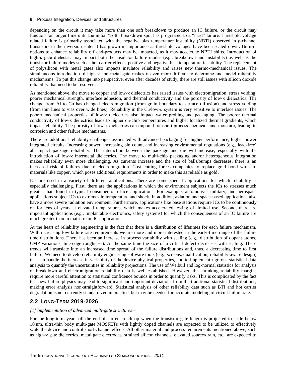depending on the circuit it may take more than one soft breakdown to produce an IC failure, or the circuit may function for longer time until the initial "soft" breakdown spot has progressed to a "hard" failure. Threshold voltage related failure is primarily associated with the negative bias temperature instability (NBTI) observed in *p*-channel transistors in the inversion state. It has grown in importance as threshold voltages have been scaled down. Burn-in options to enhance reliability off end-products may be impacted, as it may accelerate NBTI shifts. Introduction of high-κ gate dielectric may impact both the insulator failure modes (e.g., breakdown and instability) as well as the transistor failure modes such as hot carrier effects, positive and negative bias temperature instability. The replacement of polysilicon with metal gates also impacts insulator reliability and raises new thermo-mechanical issues. The simultaneous introduction of high-κ and metal gate makes it even more difficult to determine and model reliability mechanisms. To put this change into perspective, even after decades of study, there are still issues with silicon dioxide reliability that need to be resolved.

As mentioned above, the move to copper and low- $\kappa$  dielectrics has raised issues with electromigration, stress voiding, poorer mechanical strength, interface adhesion, and thermal conductivity and the porosity of low-κ dielectrics. The change from Al to Cu has changed electromigration (from grain boundary to surface diffusion) and stress voiding (from thin lines to vias over wide lines). Reliability in the Cu/low-κ system is very sensitive to interface issues. The poorer mechanical properties of low-κ dielectrics also impact wafer probing and packaging. The poorer thermal conductivity of low-κ dielectrics leads to higher on-chip temperatures and higher localized thermal gradients, which impact reliability. The porosity of low-κ dielectrics can trap and transport process chemicals and moisture, leading to corrosion and other failure mechanisms.

There are additional reliability challenges associated with advanced packaging for higher performance, higher power integrated circuits. Increasing power, increasing pin count, and increasing environmental regulations (e.g., lead-free) all impact package reliability. The interaction between the package and die will increase, especially with the introduction of low-κ intermetal dielectrics. The move to multi-chip packaging and/or heterogeneous integration makes reliability even more challenging. As currents increase and the size of balls/bumps decreases, there is an increased risk of failures due to electromigration. Cost cutting forces companies to replace gold bond wires to materials like copper, which poses additional requirements in order to make this as reliable as gold.

ICs are used in a variety of different applications. There are some special applications for which reliability is especially challenging. First, there are the applications in which the environment subjects the ICs to stresses much greater than found in typical consumer or office applications. For example, automotive, military, and aerospace applications subject ICs to extremes in temperature and shock. In addition, aviation and space-based applications also have a more severe radiation environment. Furthermore, applications like base stations require ICs to be continuously on for tens of years at elevated temperatures, which makes accelerated testing of limited use. Second, there are important applications (e.g., implantable electronics, safety systems) for which the consequences of an IC failure are much greater than in mainstream IC applications.

At the heart of reliability engineering is the fact that there is a distribution of lifetimes for each failure mechanism. With increasing low failure rate requirements we are more and more interested in the early-time range of the failure time distributions. There has been an increase in process variability with scaling (e.g., distribution of dopant atoms, CMP variations, line-edge roughness). At the same time the size of a critical defect decreases with scaling. These trends will translate into an increased time spread of the failure distributions and, thus, a decreasing time to first failure. We need to develop reliability engineering software tools (e.g., screens, qualification, reliability-aware design) that can handle the increase in variability of the device physical properties, and to implement rigorous statistical data analysis to quantify the uncertainties in reliability projections. The use of Weibull and log-normal statistics for analysis of breakdown and electromigration reliability data is well established. However, the shrinking reliability margins require more careful attention to statistical confidence bounds in order to quantify risks. This is complicated by the fact that new failure physics may lead to significant and important deviations from the traditional statistical distributions, making error analysis non-straightforward. Statistical analysis of other reliability data such as BTI and hot carrier degradation is not currently standardized in practice, but may be needed for accurate modeling of circuit failure rate.

# **2.2 LONG-TERM 2019-2026**

#### *[1] Implementation of advanced multi-gate structures—*

For the long-term years till the end of current roadmap when the transistor gate length is projected to scale below 10 nm, ultra-thin body multi-gate MOSFETs with lightly doped channels are expected to be utilized to effectively scale the device and control short-channel effects. All other material and process requirements mentioned above, such as high-κ gate dielectrics, metal gate electrodes, strained silicon channels, elevated source/drain, etc., are expected to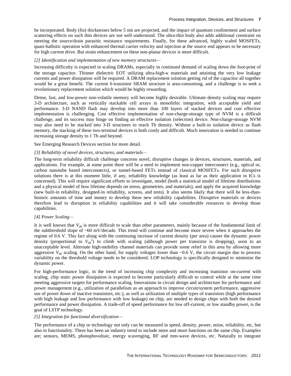be incorporated. Body (fin) thicknesses below 5 nm are projected, and the impact of quantum confinement and surface scattering effects on such thin devices are not well understood. The ultra-thin body also adds additional constraint on meeting the source/drain parasitic resistance requirements. Finally, for these advanced, highly scaled MOSFETs, quasi-ballistic operation with enhanced thermal carrier velocity and injection at the source end appears to be necessary for high current drive. But strain enhancement on these non-planar devices is more difficult.

#### *[2] Identification and implementation of new memory structures—*

Increasing difficulty is expected in scaling DRAMs, especially in continued demand of scaling down the foot-print of the storage capacitor. Thinner dielectric EOT utilizing ultra-high- $\kappa$  materials and attaining the very low leakage currents and power dissipation will be required. A DRAM replacement solution getting rid of the capacitor all together would be a great benefit. The current 6-transistor SRAM structure is area-consuming, and a challenge is to seek a revolutionary replacement solution which would be highly rewarding.

Dense, fast, and low-power non-volatile memory will become highly desirable. Ultimate density scaling may require 3-D architecture, such as vertically stackable cell arrays in monolithic integration, with acceptable yield and performance. 3-D NAND flash may develop into more than 100 layers of stacked devices and cost effective implementation is challenging. Cost effective implementation of non-charge-storage type of NVM is a difficult challenge, and its success may hinge on finding an effective isolation (selection) device. Non-charge-storage NVM may also need to be stacked into 3-D structures to reach Tb density. Without a built-in isolation device as flash memory, the stacking of these two-terminal devices is both costly and difficult. Much innovation is needed to continue increasing storage density to 1 Tb and beyond.

See Emerging Research Devices section for more detail.

#### *[3] Reliability of novel devices, structures, and materials—*

The long-term reliability difficult challenge concerns novel, disruptive changes in devices, structures, materials, and applications. For example, at some point there will be a need to implement non-copper interconnect (e.g., optical or, carbon nanotube based interconnects), or tunnel-based FETs instead of classical MOSFETs. For such disruptive solutions there is at this moment little, if any, reliability knowledge (as least as far as their application in ICs is concerned). This will require significant efforts to investigate, model (both a statistical model of lifetime distributions and a physical model of how lifetime depends on stress, geometries, and materials), and apply the acquired knowledge (new built-in reliability, designed-in reliability, screens, and tests). It also seems likely that there will be less-thanhistoric amounts of time and money to develop these new reliability capabilities. Disruptive materials or devices therefore lead to disruption in reliability capabilities and it will take considerable resources to develop those capabilities.

#### *[4] Power Scaling—*

It is well known that *Vdd* is more difficult to scale than other parameters, mainly because of the fundamental limit of the subthreshold slope of ~60 mV/decade. This trend will continue and become more severe when it approaches the regime of 0.6 V. This fact along with the continuing increase of current density (per area) causes the dynamic power density (proportional to  $V_{dd}^2$ ) to climb with scaling (although power per transistor is dropping), soon to an unacceptable level. Alternate high-mobility channel materials can provide some relief in this area by allowing more aggressive  $V_{dd}$  scaling. On the other hand, for supply voltages lower than  $\sim 0.6$  V, the circuit margin due to process variability on the threshold voltage needs to be considered. LOP technology is specifically designed to minimize the dynamic power.

For high-performance logic, in the trend of increasing chip complexity and increasing transistor on-current with scaling, chip static power dissipation is expected to become particularly difficult to control while at the same time meeting aggressive targets for performance scaling. Innovations in circuit design and architecture for performance and power management (e.g., utilization of parallelism as an approach to improve circuit/system performance, aggressive use of power down of inactive transistors, etc.), as well as utilization of multiple types of transistors (high performance with high leakage and low performance with low leakage) on chip, are needed to design chips with both the desired performance and power dissipation. A trade-off of speed performance for low off-current, or low standby power, is the goal of LSTP technology.

#### *[5] Integration for functional diversification—*

The performance of a chip or technology not only can be measured in speed, density, power, noise, reliability, etc, but also in functionality. There has been an industry trend to include more and more functions on the same chip. Examples are; sensors, MEMS, photophovoltaic, energy scavenging, RF and mm-wave devices, etc. Naturally to integrate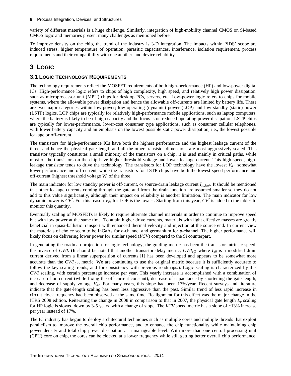variety of different materials is a huge challenge. Similarly, integration of high-mobility channel CMOS on Si-based CMOS logic and memories present many challenges as mentioned before.

To improve density on the chip, the trend of the industry is 3-D integration. The impacts within PIDS' scope are induced stress, higher temperature of operation, parasitic capacitances, interference, isolation requirement, process requirements and their compatibility with one another, and device reliability.

# <span id="page-11-0"></span>**3 LOGIC**

## <span id="page-11-1"></span>**3.1 LOGIC TECHNOLOGY REQUIREMENTS**

The technology requirements reflect the MOSFET requirements of both high-performance (HP) and low-power digital ICs. High-performance logic refers to chips of high complexity, high speed, and relatively high power dissipation, such as microprocessor unit (MPU) chips for desktop PCs, servers, etc. Low-power logic refers to chips for mobile systems, where the allowable power dissipation and hence the allowable off-currents are limited by battery life. There are two major categories within low-power; low operating (dynamic) power (LOP) and low standby (static) power (LSTP) logics. LOP chips are typically for relatively high-performance mobile applications, such as laptop computers, where the battery is likely to be of high capacity and the focus is on reduced operating power dissipation. LSTP chips are typically for lower-performance, lower-cost consumer type applications, such as consumer cellular telephones, with lower battery capacity and an emphasis on the lowest possible static power dissipation, i.e., the lowest possible leakage or off-current.

The transistors for high-performance ICs have both the highest performance and the highest leakage current of the three, and hence the physical gate length and all the other transistor dimensions are most aggressively scaled. This transistor typically constitutes a small minority of the transistors on a chip; it is used mainly in critical paths, while most of the transistors on the chip have higher threshold voltage and lower leakage current. This high-speed, highleakage transistor tends to drive the technology. The transistors for LOP technology have the lowest  $V_{dd}$ , somewhat lower performance and off-current, while the transistors for LSTP chips have both the lowest speed performance and off-current (highest threshold voltage *Vt*) of the three.

The main indicator for low standby power is off-current, or source/drain leakage current *Isd,leak*. It should be mentioned that other leakage currents coming through the gate and from the drain junction are assumed smaller so they do not add to this value significantly, although their impact on reliability is another limitation. The main indicator for low dynamic power is  $CV^2$ . For this reason  $V_{dd}$  for LOP is the lowest. Starting from this year,  $CV^2$  is added to the tables to monitor this quantity.

Eventually scaling of MOSFETs is likely to require alternate channel materials in order to continue to improve speed but with low power at the same time. To attain higher drive currents, materials with light effective masses are greatly beneficial in quasi-ballistic transport with enhanced thermal velocity and injection at the source end. In current view the materials of choice seem to be InGaAs for *n*-channel and germanium for *p*-channel. The higher performance will likely focus on delivering lower power for similar speed (*I/CV*) compared to the Si counterpart.

In generating the roadmap projection for logic technology, the guiding metric has been the transistor intrinsic speed, the inverse of *CV/I*. (It should be noted that another transistor delay metric, *CV/Ieff*, where *Ieff* is a modified drain current derived from a linear superposition of currents,[1] has been developed and appears to be somewhat more accurate than the *CV/Id,sat* metric. We are continuing to use the original metric because it is sufficiently accurate to follow the key scaling trends, and for consistency with previous roadmaps.). Logic scaling is characterized by this *CV/I* scaling, with certain percentage increase per year. This yearly increase is accomplished with a combination of increase of on-current (while fixing the off-current constant), decrease of capacitance by shortening the gate length, and decrease of supply voltage *Vdd*. For many years, this slope had been 17%/year. Recent surveys and literature indicate that the gate-length scaling has been less aggressive than the past. Similar trend of less rapid increase in circuit clock frequency had been observed at the same time. Realignment for this effect was the major change in the ITRS 2008 edition. Reiterating the change in 2008 in comparison to that in 2007, the physical gate length  $L<sub>g</sub>$  scaling for HP logic is slowed down by 3-5 years, with a change of slope. The *I*/*CV* speed metric has a slope of ~13% increase per year instead of 17%.

The IC industry has begun to deploy architectural techniques such as multiple cores and multiple threads that exploit parallelism to improve the overall chip performance, and to enhance the chip functionality while maintaining chip power density and total chip power dissipation at a manageable level. With more than one central processing unit (CPU) core on chip, the cores can be clocked at a lower frequency while still getting better overall chip performance.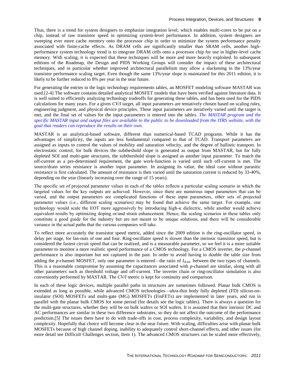Thus, there is a trend for system designers to emphasize integration level, which enables multi-cores to be put on a chip, instead of raw transistor speed in optimizing system-level performance. In addition, system designers are sweeping ever more cache memory onto the processor chip in order to minimize the system performance penalty associated with finite-cache effects. As DRAM cells are significantly smaller than SRAM cells, another highperformance system technology trend is to integrate DRAM cells onto a processor chip for use in higher-level cache memory. With scaling, it is expected that these techniques will be more and more heavily exploited. In subsequent editions of the Roadmap, the Design and PIDS Working Groups will consider the impact of these architectural techniques, and in particular whether improved architectural parallelism may allow a slackening in the 13%/year transistor performance scaling target. Even though the same 13%/year slope is maintained for this 2011 edition, it is likely to be further reduced to 8% per year in the near future.

For generating the entries in the logic technology requirements tables, an MOSFET modeling software MASTAR was used.[2-4] The software contains detailed analytical MOSFET models that have been verified against literature data. It is well suited to efficiently analyzing technology tradeoffs for generating these tables, and has been used for the PIDS calculations for many years. For a given *CV/I* target, all input parameters are tentatively chosen based on scaling rules, engineering judgment, and physical device principles. These input parameters are iteratively varied until the target is met, and the final set of values for the input parameters is entered into the tables. *[The MASTAR program and the](#page-40-0)  specific MASTAR input and output files [are available to the public to be downloaded from the ITRS website, with the](#page-40-0)  [goal that readers can reproduce the results on their own.](#page-40-0)*

MASTAR is an analytical-based software, different than numerical-based TCAD programs. While it has the advantages of simplicity, the inputs are less fundamental compared to that of TCAD. Transport parameters are assigned as inputs to control the values of mobility and saturation velocity, and the degree of ballistic transport. In electrostatic control, for bulk devices the subtheshold slope is generated as output from MASTAR, but for fully depleted SOI and multi-gate structures, the subthreshold slope is assigned as another input parameter. To match the off-current as a pre-determined requirement, the gate work-function is varied until such off-current is met. The source/drain series resistance is another input parameter. In assigning its value, the ideal case without parasitic resistance is first calculated. The amount of resistance is then varied until the saturation current is reduced by 33-40%, depending on the year (linearly increasing over the range of 15 years).

The specific set of projected parameter values in each of the tables reflects a particular scaling scenario in which the targeted values for the key outputs are achieved. However, since there are numerous input parameters that can be varied, and the output parameters are complicated functions of these input parameters, other sets of projected parameter values (i.e., different scaling scenarios) may be found that achieve the same target. For example, one technology would scale the EOT more aggressively by introducing high- $\kappa$  dielectric, while another would achieve equivalent results by optimizing doping or/and strain enhancement. Hence, the scaling scenarios in these tables only constitute a good guide for the industry but are not meant to be unique solutions, and there will be considerable variance in the actual paths that the various companies will take.

To reflect more accurately the transistor speed metric, added since the 2009 edition is the ring-oscillator speed, in delay per stage, for fan-outs of one and four. Ring-oscillator speed is slower than the intrinsic transistor speed, but is considered the fastest circuit speed that can be realized, and is a measurable parameter, so we feel it is a more suitable parameter to monitor a more realistic speed performance of a CMOS technology. For a CMOS inverter, the *p*-channel performance is also important but not captured in the past. In order to avoid having to double the table size from adding the *p*-channel MOSFET, only one parameter is entered*—*the ratio of *Id,sat* between the two types of channels. This is a reasonable compromise by assuming the capacitances associated with *p*-channel are similar, along with all other parameters such as threshold voltage and off-current. The inverter chain or ring-oscillator simulation is also conveniently performed by [MASTAR.](http://www.itrs.net/Links/2007ITRS/LinkedFiles/PIDS/MASTAR5/MASTARDownload.htm) The *CV/I* metric is kept for continuity and comparison.

In each of these logic devices, multiple parallel paths in structures are sometimes followed. Planar bulk CMOS is extended as long as possible, while advanced CMOS technologies*—*ultra-thin body fully depleted (FD) silicon-oninsulator (SOI) MOSFETs and multi-gate (MG) MOSFETs (FinFETs) are implemented in later years, and run in parallel with the planar bulk CMOS for some period (for details see the logic tables). There is always a question for the multi-gate structures, whether they will be on bulk wafers or SOI wafers. It is assumed that their intrinsic DC and AC performances are similar in these two difference substrates, so they do not affect the outcome of the performance prediction.[5] The issues there have to do with trade-offs in cost, process complexity, variability, and design layout complexity. Hopefully that choice will become clear in the near future. With scaling, difficulties arise with planar bulk MOSFETs because of high channel doping, inability to adequately control short-channel effects, and other issues (for more detail see Difficult Challenges section, Item 1). The advanced CMOS structures can be scaled more effectively,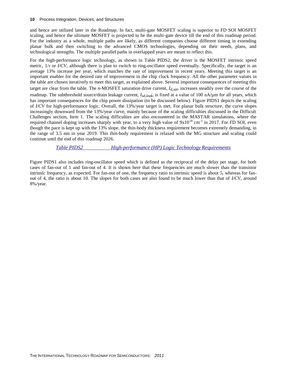and hence are utilized later in the Roadmap. In fact, multi-gate MOSFET scaling is superior to FD SOI MOSFET scaling, and hence the ultimate MOSFET is projected to be the multi-gate device till the end of this roadmap period. For the industry as a whole, multiple paths are likely, as different companies choose different timing in extending planar bulk and then switching to the advanced CMOS technologies, depending on their needs, plans, and technological strengths. The multiple parallel paths in overlapped years are meant to reflect this.

For the high-performance logic technology, as shown in Table PIDS2, the driver is the MOSFET intrinsic speed metric,  $1/\tau$  or *I/CV*, although there is plan to switch to ring-oscillator speed eventually. Specifically, the target is an average 13% increase per year, which matches the rate of improvement in recent years. Meeting this target is an important enabler for the desired rate of improvement in the chip clock frequency. All the other parameter values in the table are chosen iteratively to meet this target, as explained above. Several important consequences of meeting this target are clear from the table. The *n*-MOSFET saturation drive current, *Id,sat*, increases steadily over the course of the roadmap. The subthreshold source/drain leakage current, *Isd,leak*, is fixed at a value of 100 nA/µm for all years, which has important consequences for the chip power dissipation (to be discussed below). Figure PIDS1 depicts the scaling of *I/CV* for high-performance logic. Overall, the 13%/year target is met. For planar bulk structure, the curve slopes increasingly downward from the 13%/year curve, mainly because of the scaling difficulties discussed in the Difficult Challenges section, Item 1. The scaling difficulties are also encountered in the MASTAR simulations, where the required channel doping increases sharply with year, to a very high value of  $9x10^{18}$  cm<sup>-3</sup> in 2017. For FD SOI, even though the pace is kept up with the 13% slope, the thin-body thickness requirement becomes extremely demanding, in the range of 3.5 nm in year 2019. This thin-body requirement is relaxed with the MG structure and scaling could continue until the end of this roadmap 2026.

*Table PIDS2 High-performance (HP) Logic Technology Requirements*

<span id="page-13-0"></span>Figure PIDS1 also includes ring-oscillator speed which is defined as the reciprocal of the delay per stage, for both cases of fan-out of 1 and fan-out of 4. It is shown here that these frequencies are much slower than the transistor intrinsic frequency, as expected. For fan-out of one, the frequency ratio to intrinsic speed is about 5, whereas for fanout of 4, the ratio is about 10. The slopes for both cases are also found to be much lower than that of *I/CV*, around 8%/year.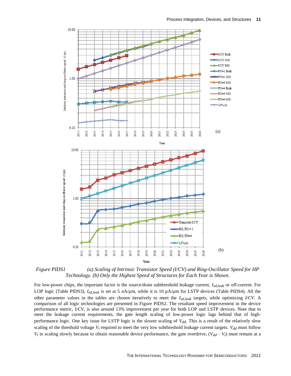

<span id="page-14-0"></span>*Figure PIDS1 (a) Scaling of Intrinsic Transistor Speed (I/CV) and Ring-Oscillator Speed for HP Technology. (b) Only the Highest Speed of Structures for Each Year is Shown.*

For low-power chips, the important factor is the source/drain subthreshold leakage current, *Isd,leak* or off-current. For LOP logic (Table PIDS3), *Isd,leak* is set at 5 nA/µm, while it is 10 pA/µm for LSTP devices (Table PIDS4). All the other parameter values in the tables are chosen iteratively to meet the *Isd,leak* targets, while optimizing *I/CV*. A comparison of all logic technologies are presented in Figure PIDS2. The resultant speed improvement in the device performance metric, *I/CV*, is also around 13% improvement per year for both LOP and LSTP devices. Note that to meet the leakage current requirements, the gate length scaling of low-power logic lags behind that of highperformance logic. One key issue for LSTP logic is the slower scaling of *Vdd*. This is a result of the relatively slow scaling of the threshold voltage  $V_t$  required to meet the very low subthreshold leakage current targets.  $V_{dd}$  must follow  $V_t$  in scaling slowly because to obtain reasonable device performance, the gate overdrive,  $(V_{dd} - V_t)$  must remain at a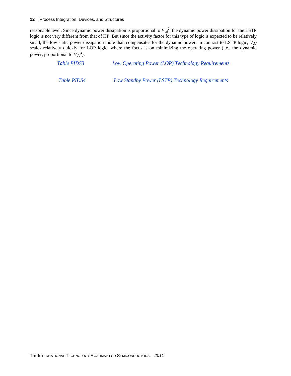reasonable level. Since dynamic power dissipation is proportional to *Vdd* 2 , the dynamic power dissipation for the LSTP logic is not very different from that of HP. But since the activity factor for this type of logic is expected to be relatively small, the low static power dissipation more than compensates for the dynamic power. In contrast to LSTP logic, *Vdd* scales relatively quickly for LOP logic, where the focus is on minimizing the operating power (i.e., the dynamic power, proportional to  $V_{dd}^2$ ).

<span id="page-15-1"></span><span id="page-15-0"></span>

| <b>Table PIDS3</b> | Low Operating Power (LOP) Technology Requirements |  |  |
|--------------------|---------------------------------------------------|--|--|
| <i>Table PIDS4</i> | Low Standby Power (LSTP) Technology Requirements  |  |  |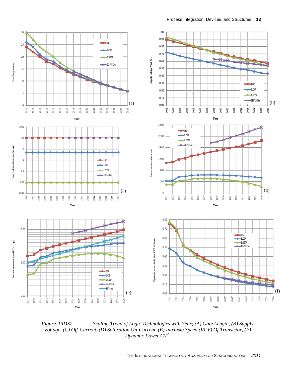

<span id="page-16-0"></span>*Figure PIDS2 Scaling Trend of Logic Technologies with Year; (A) Gate Length, (B) Supply Voltage, (C) Off-Current, (D) Saturation On-Current, (E) Intrinsic Speed (I/CV) Of Transistor, (F) Dynamic Power CV<sup>2</sup> .*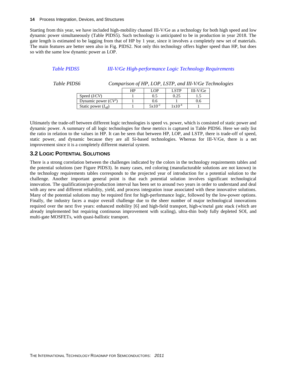Starting from this year, we have included high-mobility channel III-V/Ge as a technology for both high speed and low dynamic power simultaneously (Table PIDS5). Such technology is anticipated to be in production in year 2018. The gate length is estimated to be lagging from that of HP by 1 year, since it involves a completely new set of materials. The main features are better seen also in Fig. PIDS2. Not only this technology offers higher speed than HP, but does so with the same low dynamic power as LOP.

### <span id="page-17-1"></span>*Table PIDS5 III-V/Ge High-performance Logic Technology Requirements*

<span id="page-17-2"></span>

*Table PIDS6 Comparison of HP, LOP, LSTP, and III-V/Ge Technologies*

|                          | HP | LOP         | LSTP        | $III-V/Ge$ |
|--------------------------|----|-------------|-------------|------------|
| Speed $(I/CV)$           |    |             | 0.25        |            |
| Dynamic power $(CV^2)$   |    | J.6         |             | 0.6        |
| Static power $(I_{off})$ |    | $5x10^{-2}$ | $1x10^{-4}$ |            |

Ultimately the trade-off between different logic technologies is speed vs. power, which is consisted of static power and dynamic power. A summary of all logic technologies for these metrics is captured in Table PIDS6. Here we only list the ratio in relation to the values in HP. It can be seen that between HP, LOP, and LSTP, there is trade-off of speed, static power, and dynamic because they are all Si-based technologies. Whereas for III-V/Ge, there is a net improvement since it is a completely different material system.

# <span id="page-17-0"></span>**3.2 LOGIC POTENTIAL SOLUTIONS**

There is a strong correlation between the challenges indicated by the colors in the technology requirements tables and the potential solutions (see Figure PIDS3). In many cases, red coloring (manufacturable solutions are not known) in the technology requirements tables corresponds to the projected year of introduction for a potential solution to the challenge. Another important general point is that each potential solution involves significant technological innovation. The qualification/pre-production interval has been set to around two years in order to understand and deal with any new and different reliability, yield, and process integration issue associated with these innovative solutions. Many of the potential solutions may be required first for high-performance logic, followed by the low-power options. Finally, the industry faces a major overall challenge due to the sheer number of major technological innovations required over the next five years: enhanced mobility [6] and high-field transport, high-κ/metal gate stack (which are already implemented but requiring continuous improvement with scaling), ultra-thin body fully depleted SOI, and multi-gate MOSFETs, with quasi-ballistic transport.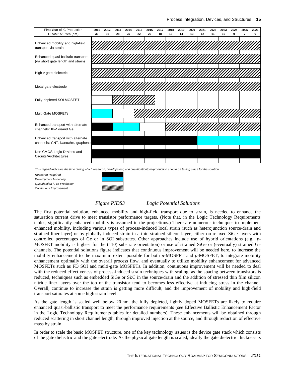

This legend indicates the time during which research, development, and qualification/pre-production should be taking place for the solution.

*Research Required Development Underway Qualification / Pre-Production Continuous Improvement*



#### *Figure PIDS3 Logic Potential Solutions*

<span id="page-18-0"></span>The first potential solution, enhanced mobility and high-field transport due to strain, is needed to enhance the saturation current drive to meet transistor performance targets. (Note that, in the Logic Technology Requirements tables, significantly enhanced mobility is assumed in the projections.) There are numerous techniques to implement enhanced mobility, including various types of process-induced local strain (such as heterojunction source/drain and strained liner layer) or by globally induced strain in a thin strained silicon layer, either on relaxed SiGe layers with controlled percentages of Ge or in SOI substrates. Other approaches include use of hybrid orientations (e.g., *p*-MOSFET mobility is highest for the (110) substrate orientation) or use of strained SiGe or (eventually) strained Ge channels. The potential solutions figure indicates that continuous improvement will be needed here, to increase the mobility enhancement to the maximum extent possible for both *n*-MOSFET and *p*-MOSFET, to integrate mobility enhancement optimally with the overall process flow, and eventually to utilize mobility enhancement for advanced MOSFETs such as FD SOI and multi-gate MOSFETs. In addition, continuous improvement will be needed to deal with the reduced effectiveness of process-induced strain techniques with scaling: as the spacing between transistors is reduced, techniques such as embedded SiGe or Si:C in the source/drain and the addition of stressed thin film silicon nitride liner layers over the top of the transistor tend to becomes less effective at inducing stress in the channel. Overall, continue to increase the strain is getting more difficult, and the improvement of mobility and high-field transport saturates at some high strain level.

As the gate length is scaled well below 20 nm, the fully depleted, lightly doped MOSFETs are likely to require enhanced quasi-ballistic transport to meet the performance requirements (see Effective Ballistic Enhancement Factor in the Logic Technology Requirements tables for detailed numbers). These enhancements will be obtained through reduced scattering in short channel length, through improved injection at the source, and through reduction of effective mass by strain.

In order to scale the basic MOSFET structure, one of the key technology issues is the device gate stack which consists of the gate dielectric and the gate electrode. As the physical gate length is scaled, ideally the gate dielectric thickness is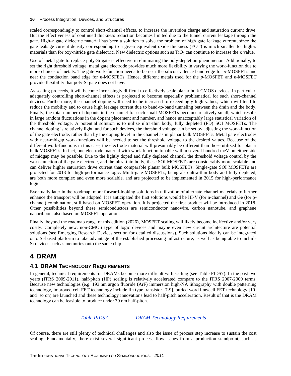scaled correspondingly to control short-channel effects, to increase the inversion charge and saturation current drive. But the effectiveness of continued thickness reduction becomes limited due to the tunnel current leakage through the gate. High-κ gate dielectric material has been a solution to solve the problem of high gate leakage current, since the gate leakage current density corresponding to a given equivalent oxide thickness (EOT) is much smaller for high-κ materials than for oxy-nitride gate dielectric. New dielectric options such as  $TiO<sub>2</sub>$  can continue to increase the  $\kappa$  value.

Use of metal gate to replace poly-Si gate is effective in eliminating the poly-depletion phenomenon. Additionally, to set the right threshold voltage, metal gate electrode provides much more flexibility in varying the work-function due to more choices of metals. The gate work-function needs to be near the silicon valence band edge for *p*-MOSFETs and near the conduction band edge for *n*-MOSFETs. Hence, different metals used for the *p*-MOSFET and *n*-MOSFET provide flexibility that poly-Si gate does not have.

As scaling proceeds, it will become increasingly difficult to effectively scale planar bulk CMOS devices. In particular, adequately controlling short-channel effects is projected to become especially problematical for such short-channel devices. Furthermore, the channel doping will need to be increased to exceedingly high values, which will tend to reduce the mobility and to cause high leakage current due to band-to-band tunneling between the drain and the body. Finally, the total number of dopants in the channel for such small MOSFETs becomes relatively small, which results in large random fluctuations in the dopant placement and number, and hence unacceptably large statistical variation of the threshold voltage. A potential solution is to utilize ultra-thin body, fully depleted (FD) SOI MOSFETs. The channel doping is relatively light, and for such devices, the threshold voltage can be set by adjusting the work-function of the gate electrode, rather than by the doping level in the channel as in planar bulk MOSFETs. Metal gate electrodes with near-midgap work-functions will be needed to set the threshold voltage to the desired values. Because of the different work-functions in this case, the electrode material will presumably be different than those utilized for planar bulk MOSFETs. In fact, one electrode material with work-function tunable within several hundred meV on either side of midgap may be possible. Due to the lightly doped and fully depleted channel, the threshold voltage control by the work-function of the gate electrode, and the ultra-thin body, these SOI MOSFETs are considerably more scalable and can deliver higher saturation drive current than comparable planar bulk MOSFETs. Single-gate SOI MOSFETs are projected for 2013 for high-performance logic. Multi-gate MOSFETs, being also ultra-thin body and fully depleted, are both more complex and even more scalable, and are projected to be implemented in 2015 for high-performance logic.

Eventually later in the roadmap, more forward-looking solutions in utilization of alternate channel materials to further enhance the transport will be adopted. It is anticipated the first solutions would be III-V (for n-channel) and Ge (for pchannel) combination, still based on MOSFET operation. It is projected the first product will be introduced in 2018. Other possibilities beyond these semiconductors are semiconductor nanowire, carbon nanotube, and graphene nanoribbon, also based on MOSFET operation.

Finally, beyond the roadmap range of this edition (2026), MOSFET scaling will likely become ineffective and/or very costly. Completely new, non-CMOS type of logic devices and maybe even new circuit architecture are potential solutions (see Emerging Research Devices section for detailed discussions). Such solutions ideally can be integrated onto Si-based platform to take advantage of the established processing infrastructure, as well as being able to include Si devices such as memories onto the same chip.

# <span id="page-19-0"></span>**4 DRAM**

# <span id="page-19-1"></span>**4.1 DRAM TECHNOLOGY REQUIREMENTS**

In general, technical requirements for DRAMs become more difficult with scaling (see Table PIDS7). In the past two years (ITRS 2009-2011), half-pitch (HP) scaling is relatively accelerated compare to the ITRS 2007-2009 terms. Because new technologies (e.g. 193 nm argon fluoride (ArF) immersion high-NA lithography with double patterning technology, improved cell FET technology include fin type transistor [7-9], buried word line/cell FET technology [10] and so on) are launched and these technology innovations lead to half-pitch acceleration. Result of that is the DRAM technology can be feasible to produce under 30 nm half-pitch.

# *Table PIDS7 DRAM Technology Requirements*

<span id="page-19-2"></span>Of course, there are still plenty of technical challenges and also the issue of process step increase to sustain the cost scaling. Fundamentally, there exist several significant process flow issues from a production standpoint, such as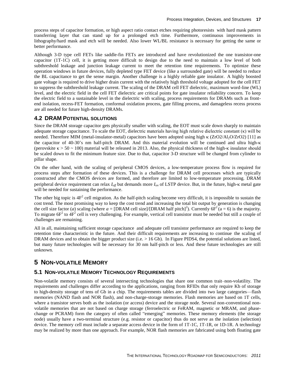process steps of capacitor formation, or high aspect ratio contact etches requiring photoresists with hard mask pattern transferring layer that can stand up for a prolonged etch time. Furthermore, continuous improvements in lithography/hard mask and etch will be needed. Also lower WL/BL resistance is necessary for getting the same or better performance.

Although 3-D type cell FETs like saddle-fin FETs are introduced and have revolutionized the one transistor-one capacitor (1T-1C) cell, it is getting more difficult to design due to the need to maintain a low level of both subthreshold leakage and junction leakage current to meet the retention time requirements. To optimize these operation windows in future devices, fully depleted type FET device (like a surrounded gate) will be needed to reduce the BL capacitance to get the sense margin. Another challenge is a highly reliable gate insulator. A highly boosted gate voltage is required to drive higher drain current with the relatively high threshold voltage adopted for the cell FET to suppress the subthreshold leakage current. The scaling of the DRAM cell FET dielectric, maximum word-line (WL) level, and the electric field in the cell FET dielectric are critical points for gate insulator reliability concern. To keep the electric field to a sustainable level in the dielectric with scaling, process requirements for DRAMs such as frontend isolation, recess-FET formation, conformal oxidation process, gate filling process, and damageless recess process are all needed for future high-density DRAMs.

# <span id="page-20-0"></span>**4.2 DRAM POTENTIAL SOLUTIONS**

Since the DRAM storage capacitor gets physically smaller with scaling, the EOT must scale down sharply to maintain adequate storage capacitance. To scale the EOT, dielectric materials having high relative dielectric constant (κ) will be needed. Therefore MIM (metal-insulator-metal) capacitors have been adopted using high  $\kappa$  (ZrO2/Al<sub>2</sub>O/ZrO2) [11] as the capacitor of 40-30's nm half-pitch DRAM. And this material evolution will be continued and ultra high- (perovskite  $\kappa > 50 \sim 100$ ) material will be released in 2013. Also, the physical thickness of the high- $\kappa$  insulator should be scaled down to fit the minimum feature size. Due to that, capacitor 3-D structure will be changed from cylinder to pillar shape.

On the other hand, with the scaling of peripheral CMOS devices, a low-temperature process flow is required for process steps after formation of these devices. This is a challenge for DRAM cell processes which are typically constructed after the CMOS devices are formed, and therefore are limited to low-temperature processing. DRAM peripheral device requirement can relax  $I_{off}$  but demands more  $I_{on}$  of LSTP device. But, in the future, high- $\kappa$  metal gate will be needed for sustaining the performance.

The other big topic is  $4F^2$  cell migration. As the half-pitch scaling become very difficult, it is impossible to sustain the cost trend. The most promising way to keep the cost trend and increasing the total bit output by generation is changing the cell size factor (*a*) scaling (where  $a = [DRAM$  cell size]/[DRAM half pitch]<sup>2</sup>). Currently  $6F^2$  ( $a = 6$ ) is the majority. To migrate  $6F^2$  to  $4F^2$  cell is very challenging. For example, vertical cell transistor must be needed but still a couple of challenges are remaining.

All in all, maintaining sufficient storage capacitance and adequate cell transistor performance are required to keep the retention time characteristic in the future. And their difficult requirements are increasing to continue the scaling of DRAM devices and to obtain the bigger product size (i.e.  $> 16$  Gb). In Figure PIDS4, the potential solutions are listed, but many future technologies will be necessary for 30 nm half-pitch or less. And these future technologies are still unknown.

# <span id="page-20-1"></span>**5 NON-VOLATILE MEMORY**

# <span id="page-20-2"></span>**5.1 NON-VOLATILE MEMORY TECHNOLOGY REQUIREMENTS**

Non-volatile memory consists of several intersecting technologies that share one common trait–non-volatility. The requirements and challenges differ according to the applications, ranging from RFIDs that only require Kb of storage to high-density storage of tens of Gb in a chip. The requirements tables are divided into two large categories—flash memories (NAND flash and NOR flash), and non-charge-storage memories. Flash memories are based on 1T cells, where a transistor serves both as the isolation (or access) device and the storage node. Several non-conventional nonvolatile memories that are not based on charge storage (ferroelectric or FeRAM, magnetic or MRAM, and phasechange or PCRAM) form the category of often called "emerging" memories. These memory elements (the storage node) usually have a two-terminal structure (e.g. resistor or capacitor) thus do not serve as the isolation (selection) device. The memory cell must include a separate access device in the form of 1T-1C, 1T-1R, or 1D-1R. A technology may be realized by more than one approach. For example, NOR flash memories are fabricated using both floating gate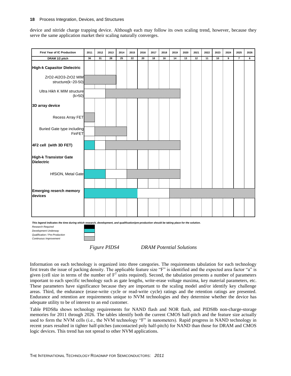device and nitride charge trapping device. Although each may follow its own scaling trend, however, because they serve the same application market their scaling naturally converges.



<span id="page-21-0"></span>*Work-in-Progress--Do Not Publish*

*Figure PIDS4 DRAM Potential Solutions*

Information on each technology is organized into three categories. The requirements tabulation for each technology first treats the issue of packing density. The applicable feature size "F" is identified and the expected area factor "a" is given (cell size in terms of the number of  $F^2$  units required). Second, the tabulation presents a number of parameters important to each specific technology such as gate lengths, write-erase voltage maxima, key material parameters, etc. These parameters have significance because they are important to the scaling model and/or identify key challenge areas. Third, the endurance (erase-write cycle or read-write cycle) ratings and the retention ratings are presented. Endurance and retention are requirements unique to NVM technologies and they determine whether the device has adequate utility to be of interest to an end customer.

Table PIDS8a shows technology requirements for NAND flash and NOR flash, and PIDS8b non-charge-storage memories for 2011 through 2026. The tables identify both the current CMOS half-pitch and the feature size actually used to form the NVM cells (i.e., the NVM technology "F" in nanometers). Rapid progress in NAND technology in recent years resulted in tighter half-pitches (uncontacted poly half-pitch) for NAND than those for DRAM and CMOS logic devices. This trend has not spread to other NVM applications.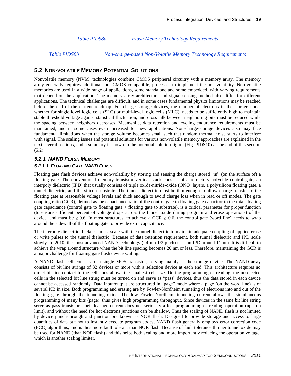*Table PIDS8a Flash Memory Technology Requirements*

<span id="page-22-2"></span><span id="page-22-1"></span>*Table PIDS8b Non-charge-based Non-Volatile Memory Technology Requirements*

#### <span id="page-22-0"></span>**5.2 NON-VOLATILE MEMORY POTENTIAL SOLUTIONS**

Nonvolatile memory (NVM) technologies combine CMOS peripheral circuitry with a memory array. The memory array generally requires additional, but CMOS compatible, processes to implement the non-volatility. Non-volatile memories are used in a wide range of applications, some standalone and some embedded, with varying requirements that depend on the application. The memory array architecture and signal sensing method also differ for different applications. The technical challenges are difficult, and in some cases fundamental physics limitations may be reached before the end of the current roadmap. For charge storage devices, the number of electrons in the storage node, whether for single level logic cells (SLC) or multi-level logic cells (MLC), needs to be sufficiently high to maintain stable threshold voltage against statistical fluctuation, and cross talk between neighboring bits must be reduced while the spacing between neighbors decreases. Meanwhile, data retention and cycling endurance requirements must be maintained, and in some cases even increased for new applications. Non-charge-storage devices also may face fundamental limitations when the storage volume becomes small such that random thermal noise starts to interfere with signal. The scaling issues and potential solutions for various non-volatile memory approaches are explained in the next several sections, and a summary is shown in the potential solution figure (Fig. PIDS10) at the end of this section  $(5.2)$ .

#### *5.2.1 NAND FLASH MEMORY*

#### *5.2.1.1 FLOATING GATE NAND FLASH*

Floating gate flash devices achieve non-volatility by storing and sensing the charge stored "in" (on the surface of) a floating gate. The conventional memory transistor vertical stack consists of a refractory polycide control gate, an interpoly dielectric (IPD) that usually consists of triple oxide-nitride-oxide (ONO) layers, a polysilicon floating gate, a tunnel dielectric, and the silicon substrate. The tunnel dielectric must be thin enough to allow charge transfer to the floating gate at reasonable voltage levels and thick enough to avoid charge loss when in read or off modes. The gate coupling ratio (GCR), defined as the capacitance ratio of the control gate to floating gate capacitor to the total floating gate capacitance (control gate to floating gate + floating gate to substrate), is a critical parameter for proper function (to ensure sufficient percent of voltage drops across the tunnel oxide during program and erase operations) of the device, and must be  $\geq 0.6$ . In most structures, to achieve a GCR  $\geq 0.6$ , the control gate (word line) needs to wrap around the sidewall of the floating gate to provide extra capacitance.

The interpoly dielectric thickness must scale with the tunnel dielectric to maintain adequate coupling of applied erase or write pulses to the tunnel dielectric. Because of data retention requirement, both tunnel dielectric and IPD scale slowly. In 2010, the most advanced NAND technology (24 nm 1/2 pitch) uses an IPD around 11 nm. It is difficult to achieve the wrap around structure when the bit line spacing becomes 20 nm or less. Therefore, maintaining the GCR is a major challenge for floating gate flash device scaling.

A NAND flash cell consists of a single MOS transistor, serving mainly as the storage device. The NAND array consists of bit line strings of 32 devices or more with a selection device at each end. This architecture requires no direct bit line contact to the cell, thus allows the smallest cell size. During programming or reading, the unselected cells in the selected bit line string must be turned on and serve as "pass" devices, thus the data stored in each device cannot be accessed randomly. Data input/output are structured in "page" mode where a page (on the word line) is of several KB in size. Both programming and erasing are by Fowler-Nordheim tunneling of electrons into and out of the floating gate through the tunneling oxide. The low Fowler-Nordheim tunneling current allows the simultaneous programming of many bits (page), thus gives high programming throughput. Since devices in the same bit line string serve as pass transistors their leakage current does not seriously affect programming or reading operation (up to a limit), and without the need for hot electrons junctions can be shallow. Thus the scaling of NAND flash is not limited by device punch-through and junction breakdown as NOR flash. Designed to provide storage and access to large quantities of data but not to instantly execute program codes, NAND flash generally employs error correction code (ECC) algorithms, and is thus more fault tolerant than NOR flash. Because of fault tolerance thinner tunnel oxide may be used for NAND (than NOR flash) and this helps both scaling and more importantly reducing the operation voltage, which is another scaling limiter.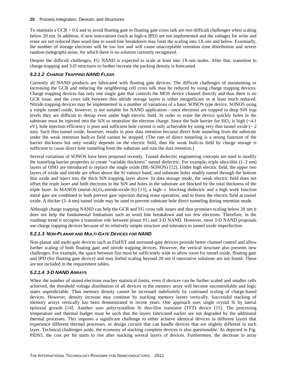To maintain a  $GCR > 0.6$  and to avoid floating gate to floating gate cross talk are two difficult challenges when scaling below 20 nm. In addition, if new innovations (such as high- $\kappa$  IPD) are not implemented and the voltages for write and erase are not reduced then word-line to word-line breakdown may limit the scaling into 1X-nm and below. Eventually, the number of storage electrons will be too low and will cause unacceptable retention time distribution and severe random (telegraph) noise, for which there is no solution currently recognized.

Despite the difficult challenges, FG NAND is expected to scale at least into 1X-nm nodes. After that, transition to charge-trapping and 3-D structures to further increase the packing density is forecasted.

#### *5.2.1.2 CHARGE TRAPPING NAND FLASH*

Currently all NAND products are fabricated with floating gate devices. The difficult challenges of maintaining or increasing the GCR and reducing the neighboring cell cross talk may be reduced by using charge trapping devices. Charge trapping devices has only one single gate that controls the MOS device channel directly and thus there is no GCR issue, and the cross talk between thin nitride storage layers is either insignificant or at least much reduced. Nitride trapping devices may be implemented in a number of variations of a basic SONOS type device. SONOS using a simple tunnel oxide, however, is not suitable for NAND application—once electrons are trapped in deep SiN trap levels they are difficult to detrap even under high electric field. In order to erase the device quickly holes in the substrate must be injected into the SiN to neutralize the electron charge. Since the hole barrier for  $SiO<sub>2</sub>$  is high ( $\sim$ 4.1) eV), hole injection efficiency is poor and sufficient hole current is only achievable by using very thin tunnel oxide ( $\sim$  2) nm). Such thin tunnel oxide, however, results in poor data retention because direct hole tunneling from the substrate under the weak retention built-in field cannot be stopped. (The rate of direct tunneling is a strong function of the barrier thickness but only weakly depends on the electric field, thus the weak built-in field by charge storage is sufficient to cause direct hole tunneling from the substrate and ruin the data retention.)

Several variations of SONOS have been proposed recently. Tunnel dielectric engineering concepts are used to modify the tunneling barrier properties to create "variable thickness" tunnel dielectric. For example, triple ultra-thin (1–2 nm) layers of ONO are introduced to replace the single oxide (BE-SONOS) [12]. Under high electric field, the upper two layers of oxide and nitride are offset above the Si valence band, and substrate holes readily tunnel through the bottom thin oxide and inject into the thick SiN trapping layer above. In data storage mode, the weak electric field does not offset the triple layer and both electrons in the SiN and holes in the substrate are blocked by the total thickness of the triple layer. In MANOS (metal-Al<sub>2</sub>O<sub>3</sub>-nitride-oxide-Si) [13], a high- $\kappa$  blocking dielectric and a high work function metal gate are combined to both prevent gate injection during erase operation, and to boost the electric field at tunnel oxide. A thicker (3–4 nm) tunnel oxide may be used to prevent substrate hole direct tunneling during retention mode.

Although charge trapping NAND can help the GCR and FG cross talk issues and thus promises scaling below 20 nm it does not help the fundamental limitations such as word line breakdown and too few electrons. Therefore, in the roadmap trend it occupies a transition role between planar FG and 3-D NAND. However, most 3-D NAND proposals use charge trapping devices because of its relatively simple structure and tolerance to tunnel oxide imperfection.

#### *5.2.1.3 NON-PLANAR AND MULTI-GATE DEVICES FOR NAND*

Non-planar and multi-gate devices such as FinFET and surround-gate devices provide better channel control and allow further scaling of both floating gate and nitride trapping devices. However, the vertical structure also presents new challenges. For example, the space between fins must be sufficiently wide to allow room for tunnel oxide, floating gate and IPD (for floating gate device) and may forbid scaling beyond 20 nm if innovative solutions are not found. These are not included in the requirement tables.

#### *5.2.1.4 3-D NAND ARRAYS*

When the number of stored electrons reaches statistical limits, even if devices can be further scaled and smaller cells achieved, the threshold voltage distribution of all devices in the memory array will become uncontrollable and logic states unpredictable. Thus memory density cannot be increased indefinitely by continued scaling of charge-based devices. However, density increase may continue by stacking memory layers vertically. Successful stacking of memory arrays vertically has been demonstrated in recent years. One approach uses single crystal Si by lateral epitaxial growth [14]. Another uses polycrystalline Si thin-film transistor (TFT) device [15]. The processing temperature and thermal budget must be such that the layers fabricated earlier are not degraded by the additional thermal processes. This imposes a significant challenge to either achieve identical devices in different layers that experience different thermal processes, or design circuits that can handle devices that are slightly different in each layer. Technical challenges aside, the economy of stacking complete devices is also questionable. As depicted in Fig. PIDS5, the cost per bit starts to rise after stacking several layers of devices. Furthermore, the decrease in array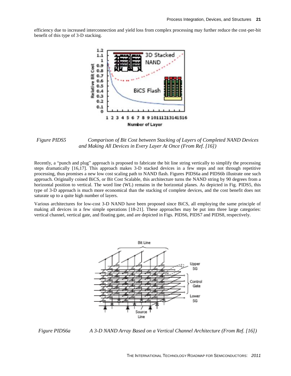efficiency due to increased interconnection and yield loss from complex processing may further reduce the cost-per-bit benefit of this type of 3-D stacking.



<span id="page-24-0"></span>*Figure PIDS5 Comparison of Bit Cost between Stacking of Layers of Completed NAND Devices and Making All Devices in Every Layer At Once (From Ref. [16])*

Recently, a "punch and plug" approach is proposed to fabricate the bit line string vertically to simplify the processing steps dramatically [16,17]. This approach makes 3-D stacked devices in a few steps and not through repetitive processing, thus promises a new low cost scaling path to NAND flash. Figures PIDS6a and PIDS6b illustrate one such approach. Originally coined BiCS, or Bit Cost Scalable, this architecture turns the NAND string by 90 degrees from a horizontal position to vertical. The word line (WL) remains in the horizontal planes. As depicted in Fig. PIDS5, this type of 3-D approach is much more economical than the stacking of complete devices, and the cost benefit does not saturate up to a quite high number of layers.

Various architectures for low-cost 3-D NAND have been proposed since BiCS, all employing the same principle of making all devices in a few simple operations [18-21]. These approaches may be put into three large categories: vertical channel, vertical gate, and floating gate, and are depicted in Figs. PIDS6, PIDS7 and PIDS8, respectively.



<span id="page-24-1"></span>*Figure PIDS6a A 3-D NAND Array Based on a Vertical Channel Architecture (From Ref. [16])*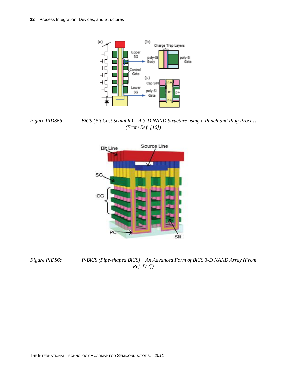

<span id="page-25-0"></span>*Figure PIDS6b BiCS (Bit Cost Scalable)*—*A 3-D NAND Structure using a Punch and Plug Process (From Ref. [16])*



<span id="page-25-1"></span>

*Figure PIDS6c P-BiCS (Pipe-shaped BiCS)*—*An Advanced Form of BiCS 3-D NAND Array (From Ref. [17])*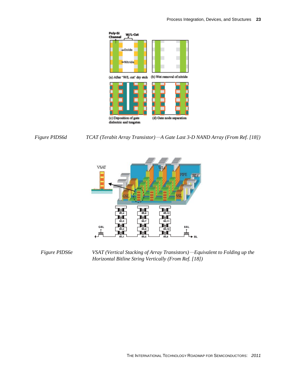

<span id="page-26-0"></span>



<span id="page-26-1"></span>*Figure PIDS6e VSAT (Vertical Stacking of Array Transistors)*—*Equivalent to Folding up the Horizontal Bitline String Vertically (From Ref. [18])*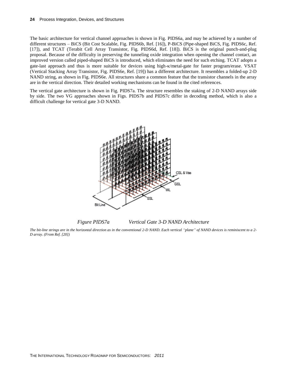The basic architecture for vertical channel approaches is shown in Fig. PIDS6a, and may be achieved by a number of different structures – BiCS (Bit Cost Scalable, Fig. PIDS6b, Ref. [16]), P-BiCS (Pipe-shaped BiCS, Fig. PIDS6c, Ref. [17]), and TCAT (Terabit Cell Array Transistor, Fig. PIDS6d, Ref. [18]). BiCS is the original punch-and-plug proposal. Because of the difficulty in preserving the tunneling oxide integration when opening the channel contact, an improved version called piped-shaped BiCS is introduced, which eliminates the need for such etching. TCAT adopts a gate-last approach and thus is more suitable for devices using high- $\kappa$ /metal-gate for faster program/erase. VSAT (Vertical Stacking Array Transistor, Fig. PIDS6e, Ref. [19]) has a different architecture. It resembles a folded-up 2-D NAND string, as shown in Fig. PIDS6e. All structures share a common feature that the transistor channels in the array are in the vertical direction. Their detailed working mechanisms can be found in the cited references.

The vertical gate architecture is shown in Fig. PIDS7a. The structure resembles the staking of 2-D NAND arrays side by side. The two VG approaches shown in Figs. PIDS7b and PIDS7c differ in decoding method, which is also a difficult challenge for vertical gate 3-D NAND.



*Figure PIDS7a Vertical Gate 3-D NAND Architecture*

<span id="page-27-0"></span>*The bit-line strings are in the horizontal direction as in the conventional 2-D NAND. Each vertical "plane" of NAND devices is reminiscent to a 2- D array. (From Ref. [20])*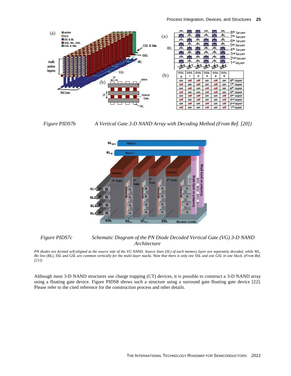

<span id="page-28-0"></span>

*Figure PIDS7b A Vertical Gate 3-D NAND Array with Decoding Method (From Ref. [20])*



## <span id="page-28-1"></span>*Figure PIDS7c Schematic Diagram of the PN Diode Decoded Vertical Gate (VG) 3-D NAND Architecture*

*PN diodes are formed self-aligned at the source side of the VG NAND. Source lines (SL) of each memory layer are separately decoded, while WL, Bit line (BL), SSL and GSL are common vertically for the multi-layer stacks. Note that there is only one SSL and one GSL in one block. (From Ref. [21])*

Although most 3-D NAND structures use charge trapping (CT) devices, it is possible to construct a 3-D NAND array using a floating gate device. Figure PIDS8 shows such a structure using a surround gate floating gate device [22]. Please refer to the cited reference for the construction process and other details.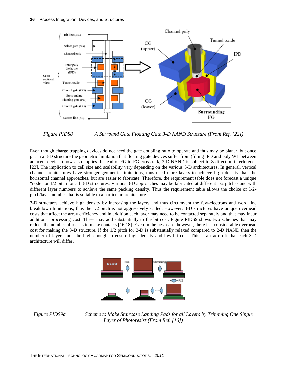

<span id="page-29-0"></span>*Figure PIDS8 A Surround Gate Floating Gate 3-D NAND Structure (From Ref. [22])*

Even though charge trapping devices do not need the gate coupling ratio to operate and thus may be planar, but once put in a 3-D structure the geometric limitation that floating gate devices suffer from (filling IPD and poly WL between adjacent devices) now also applies. Instead of FG to FG cross talk, 3-D NAND is subject to Z-direction interference [23]. The implication to cell size and scalability vary depending on the various 3-D architectures. In general, vertical channel architectures have stronger geometric limitations, thus need more layers to achieve high density than the horizontal channel approaches, but are easier to fabricate. Therefore, the requirement table does not forecast a unique "node" or 1/2 pitch for all 3-D structures. Various 3-D approaches may be fabricated at different 1/2 pitches and with different layer numbers to achieve the same packing density. Thus the requirement table allows the choice of 1/2 pitch/layer-number that is suitable to a particular architecture.

3-D structures achieve high density by increasing the layers and thus circumvent the few-electrons and word line breakdown limitations, thus the 1/2 pitch is not aggressively scaled. However, 3-D structures have unique overhead costs that affect the array efficiency and in addition each layer may need to be contacted separately and that may incur additional processing cost. These may add substantially to the bit cost. Figure PIDS9 shows two schemes that may reduce the number of masks to make contacts [16,18]. Even in the best case, however, there is a considerable overhead cost for making the 3-D structure. If the 1/2 pitch for 3-D is substantially relaxed compared to 2-D NAND then the number of layers must be high enough to ensure high density and low bit cost. This is a trade off that each 3-D architecture will differ.



<span id="page-29-1"></span>

*Figure PIDS9a Scheme to Make Staircase Landing Pads for all Layers by Trimming One Single Layer of Photoresist (From Ref. [16])*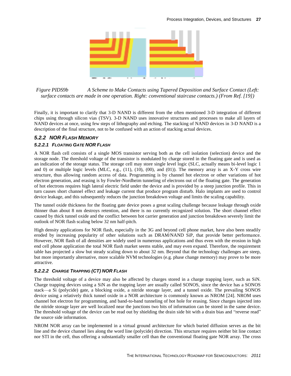

<span id="page-30-0"></span>*Figure PIDS9b A Scheme to Make Contacts using Tapered Deposition and Surface Contact (Left: surface contacts are made in one operation. Right: conventional staircase contacts.) (From Ref. [19])*

Finally, it is important to clarify that 3-D NAND is different from the often mentioned 3-D integration of different chips using through silicon vias (TSV). 3-D NAND uses innovative structures and processes to make all layers of NAND devices at once, using few steps of lithography and etching. The stacking of NAND devices in 3-D NAND is a description of the final structure, not to be confused with an action of stacking actual devices.

## *5.2.2 NOR FLASH MEMORY*

## *5.2.2.1 FLOATING GATE NOR FLASH*

A NOR flash cell consists of a single MOS transistor serving both as the cell isolation (selection) device and the storage node. The threshold voltage of the transistor is modulated by charge stored in the floating gate and is used as an indication of the storage status. The storage cell may store single level logic (SLC, actually means bi-level logic 1 and 0) or multiple logic levels (MLC, e.g.,  $(11)$ ,  $(10)$ ,  $(00)$ , and  $(01)$ ). The memory array is an X-Y cross wire structure, thus allowing random access of data. Programming is by channel hot electron or other variations of hot electron generation, and erasing is by Fowler-Nordheim tunneling of electrons out of the floating gate. The generation of hot electrons requires high lateral electric field under the device and is provided by a steep junction profile. This in turn causes short channel effect and leakage current that produce program disturb. Halo implants are used to control device leakage, and this subsequently reduces the junction breakdown voltage and limits the scaling capability.

The tunnel oxide thickness for the floating gate device poses a great scaling challenge because leakage through oxide thinner than about 8 nm destroys retention, and there is no currently recognized solution. The short channel effect caused by thick tunnel oxide and the conflict between hot carrier generation and junction breakdown severely limit the outlook of NOR flash scaling below 32 nm half-pitch.

High density applications for NOR flash, especially in the 3G and beyond cell phone market, have also been steadily eroded by increasing popularity of other solutions such as DRAM/NAND SiP, that provide better performance. However, NOR flash of all densities are widely used in numerous applications and thus even with the erosion in high end cell phone application the total NOR flash market seems stable, and may even expand. Therefore, the requirement table has projected a slow but steady scaling down to about 32 nm. Beyond that the technology challenges are steep, but more importantly alternative, more scalable NVM technologies (e.g. phase change memory) may prove to be more attractive.

#### *5.2.2.2 CHARGE TRAPPING (CT) NOR FLASH*

The threshold voltage of a device may also be affected by charges stored in a charge trapping layer, such as SiN. Charge trapping devices using a SiN as the trapping layer are usually called SONOS, since the device has a SONOS stack—a Si (polycide) gate, a blocking oxide, a nitride storage layer, and a tunnel oxide. The prevailing SONOS device using a relatively thick tunnel oxide in a NOR architecture is commonly known as NROM [24]. NROM uses channel hot electron for programming, and band-to-band tunneling of hot hole for erasing. Since charges injected into the nitride storage layer are well localized near the junctions two bits of information can be stored in the same device. The threshold voltage of the device can be read out by shielding the drain side bit with a drain bias and "reverse read" the source side information.

NROM NOR array can be implemented in a virtual ground architecture for which buried diffusion serves as the bit line and the device channel lies along the word line (polycide) direction. This structure requires neither bit line contact nor STI in the cell, thus offering a substantially smaller cell than the conventional floating gate NOR array. The cross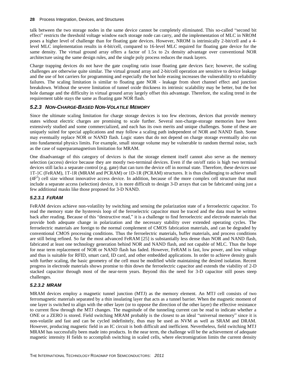talk between the two storage nodes in the same device cannot be completely eliminated. This so-called "second bit effect" restricts the threshold voltage window each storage node can carry, and the implementation of MLC in NROM poses a higher level of challenge than for floating gate devices. However, NROM is intrinsically 2-bit/cell and a 4 level MLC implementation results in 4-bit/cell, compared to 16-level MLC required for floating gate device for the same density. The virtual ground array offers a factor of 1.5x to 2x density advantage over conventional NOR architecture using the same design rules, and the single poly process reduces the mask layers.

Charge trapping devices do not have the gate coupling ratio issue floating gate devices face; however, the scaling challenges are otherwise quite similar. The virtual ground array and 2-bit/cell operation are sensitive to device leakage and the use of hot carriers for programming and especially the hot hole erasing increases the vulnerability to reliability failures. The scaling limitation is similar to floating gate NOR - leakage from short channel effect and junction breakdown. Without the severe limitation of tunnel oxide thickness its intrinsic scalability may be better, but the hot hole damage and the difficulty in virtual ground array largely offset this advantage. Therefore, the scaling trend in the requirement table stays the same as floating gate NOR flash.

## *5.2.3 NON-CHARGE-BASED NON-VOLATILE MEMORY*

Since the ultimate scaling limitation for charge storage devices is too few electrons, devices that provide memory states without electric charges are promising to scale further. Several non-charge-storage memories have been extensively studied and some commercialized, and each has its own merits and unique challenges. Some of these are uniquely suited for special applications and may follow a scaling path independent of NOR and NAND flash. Some may eventually replace NOR or NAND flash. Logic states that do not depend on charge storage eventually also run into fundamental physics limits. For example, small storage volume may be vulnerable to random thermal noise, such as the case of superparamagnetism limitation for MRAM.

One disadvantage of this category of devices is that the storage element itself cannot also serve as the memory selection (access) device because they are mostly two-terminal devices. Even if the on/off ratio is high two terminal devices still lacks a separate control (e.g. gate) that can turn the device off in normal state. Therefore, these devices use 1T-1C (FeRAM), 1T-1R (MRAM and PCRAM) or 1D-1R (PCRAM) structures. It is thus challenging to achieve small  $(4F<sup>2</sup>)$  cell size without innovative access device. In addition, because of the more complex cell structure that must include a separate access (selection) device, it is more difficult to design 3-D arrays that can be fabricated using just a few additional masks like those proposed for 3-D NAND.

## *5.2.3.1 FERAM*

FeRAM devices achieve non-volatility by switching and sensing the polarization state of a ferroelectric capacitor. To read the memory state the hysteresis loop of the ferroelectric capacitor must be traced and the data must be written back after reading. Because of this "destructive read," it is a challenge to find ferroelectric and electrode materials that provide both adequate change in polarization and the necessary stability over extended operating cycles. The ferroelectric materials are foreign to the normal complement of CMOS fabrication materials, and can be degraded by conventional CMOS processing conditions. Thus the ferroelectric materials, buffer materials, and process conditions are still being refined. So far the most advanced FeRAM [25] is substantially less dense than NOR and NAND flash, fabricated at least one technology generation behind NOR and NAND flash, and not capable of MLC. Thus the hope for near term replacement of NOR or NAND flash has faded. However, FeRAM is fast, low power, and low voltage and thus is suitable for RFID, smart card, ID card, and other embedded applications. In order to achieve density goals with further scaling, the basic geometry of the cell must be modified while maintaining the desired isolation. Recent progress in electrode materials shows promise to thin down the ferroelectric capacitor and extends the viability of 2-D stacked capacitor through most of the near-term years. Beyond this the need for 3-D capacitor still poses steep challenges.

## *5.2.3.2 MRAM*

MRAM devices employ a magnetic tunnel junction (MTJ) as the memory element. An MTJ cell consists of two ferromagnetic materials separated by a thin insulating layer that acts as a tunnel barrier. When the magnetic moment of one layer is switched to align with the other layer (or to oppose the direction of the other layer) the effective resistance to current flow through the MTJ changes. The magnitude of the tunneling current can be read to indicate whether a ONE or a ZERO is stored. Field switching MRAM probably is the closest to an ideal "universal memory" since it is non-volatile and fast and can be cycled indefinitely, thus may be used as NVM as well as SRAM and DRAM. However, producing magnetic field in an IC circuit is both difficult and inefficient. Nevertheless, field switching MTJ MRAM has successfully been made into products. In the near term, the challenge will be the achievement of adequate magnetic intensity H fields to accomplish switching in scaled cells, where electromigration limits the current density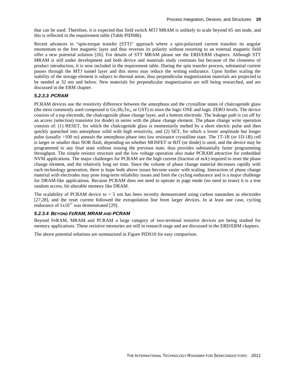that can be used. Therefore, it is expected that field switch MTJ MRAM is unlikely to scale beyond 65 nm node, and this is reflected in the requirement table (Table PIDS8b).

Recent advances in "spin-torque transfer (STT)" approach where a spin-polarized current transfers its angular momentum to the free magnetic layer and thus reverses its polarity without resorting to an external magnetic field offer a new potential solution [26]. For details of STT MRAM please see the ERD/ERM chapters. Although STT MRAM is still under development and both device and materials study continues but because of the closeness of product introduction, it is now included in the requirement table. During the spin transfer process, substantial current passes through the MTJ tunnel layer and this stress may reduce the writing endurance. Upon further scaling the stability of the storage element is subject to thermal noise, thus perpendicular magnetization materials are projected to be needed at 32 nm and below. New materials for perpendicular magnetization are still being researched, and are discussed in the ERM chapter.

#### *5.2.3.3 PCRAM*

PCRAM devices use the resistivity difference between the amorphous and the crystalline states of chalcogenide glass (the most commonly used compound is  $Ge_2Sb_2Te_5$ , or GST) to store the logic ONE and logic ZERO levels. The device consists of a top electrode, the chalcogenide phase change layer, and a bottom electrode. The leakage path is cut off by an access (selection) transistor (or diode) in series with the phase change element. The phase change write operation consists of: (1) RESET, for which the chalcogenide glass is momentarily melted by a short electric pulse and then quickly quenched into amorphous solid with high resistivity, and (2) SET, for which a lower amplitude but longer pulse (usually >100 ns) anneals the amorphous phase into low resistance crystalline state. The 1T-1R (or 1D-1R) cell is larger or smaller than NOR flash, depending on whether MOSFET or BJT (or diode) is used, and the device may be programmed to any final state without erasing the previous state, thus provides substantially faster programming throughput. The simple resistor structure and the low voltage operation also make PCRAM attractive for embedded NVM applications. The major challenges for PCRAM are the high current (fraction of mA) required to reset the phase change element, and the relatively long set time. Since the volume of phase change material decreases rapidly with each technology generation, there is hope both above issues become easier with scaling. Interaction of phase change material with electrodes may pose long-term reliability issues and limit the cycling endurance and is a major challenge for DRAM-like applications. Because PCRAM does not need to operate in page mode (no need to erase) it is a true random access, bit alterable memory like DRAM.

The scalability of PCRAM device to < 5 nm has been recently demonstrated using carbon nanotubes as electrodes [27,28], and the reset current followed the extrapolation line from larger devices. In at least one case, cycling endurance of  $1x10^{11}$  was demonstrated [29].

#### *5.2.3.4 BEYOND FERAM, MRAM AND PCRAM*

Beyond FeRAM, MRAM and PCRAM a large category of two-terminal resistive devices are being studied for memory applications. These resistive memories are still in research stage and are discussed in the ERD/ERM chapters.

The above potential solutions are summarized in Figure PIDS10 for easy comparison.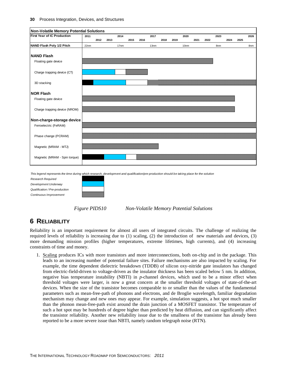

*This legend represents the time during which research, development and qualification/pre-production should be taking place for the solution*

*Research Required Development Underway Qualification / Pre-production Continuous Improvement*



*Figure PIDS10 Non-Volatile Memory Potential Solutions*

# <span id="page-33-1"></span><span id="page-33-0"></span>**6 RELIABILITY**

Reliability is an important requirement for almost all users of integrated circuits. The challenge of realizing the required levels of reliability is increasing due to (1) scaling, (2) the introduction of new materials and devices, (3) more demanding mission profiles (higher temperatures, extreme lifetimes, high currents), and (4) increasing constraints of time and money.

1. Scaling produces ICs with more transistors and more interconnections, both on-chip and in the package. This leads to an increasing number of potential failure sites. Failure mechanisms are also impacted by scaling. For example, the time dependent dielectric breakdown (TDDB) of silicon oxy-nitride gate insulators has changed from electric-field-driven to voltage-driven as the insulator thickness has been scaled below 5 nm. In addition, negative bias temperature instability (NBTI) in *p*-channel devices, which used to be a minor effect when threshold voltages were larger, is now a great concern at the smaller threshold voltages of state-of-the-art devices. When the size of the transistor becomes comparable to or smaller than the values of the fundamental parameters such as mean-free-path of phonons and electrons, and de Broglie wavelength, familiar degradation mechanism may change and new ones may appear. For example, simulation suggests, a hot spot much smaller than the phonon mean-free-path exist around the drain junction of a MOSFET transistor. The temperature of such a hot spot may be hundreds of degree higher than predicted by heat diffusion, and can significantly affect the transistor reliability. Another new reliability issue due to the smallness of the transistor has already been reported to be a more severe issue than NBTI, namely random telegraph noise (RTN).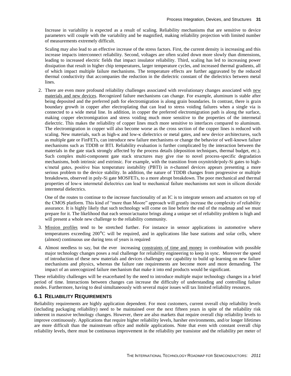Increase in variability is expected as a result of scaling. Reliability mechanisms that are sensitive to device parameters will couple with the variability and be magnified, making reliability projection with limited number of measurements extremely difficult.

Scaling may also lead to an effective increase of the stress factors. First, the current density is increasing and this increase impacts interconnect reliability. Second, voltages are often scaled down more slowly than dimensions, leading to increased electric fields that impact insulator reliability. Third, scaling has led to increasing power dissipation that result in higher chip temperatures, larger temperature cycles, and increased thermal gradients, all of which impact multiple failure mechanisms. The temperature effects are further aggravated by the reduced thermal conductivity that accompanies the reduction in the dielectric constant of the dielectrics between metal lines.

2. There are even more profound reliability challenges associated with revolutionary changes associated with new materials and new devices. Recognized failure mechanisms can change. For example, aluminum is stable after being deposited and the preferred path for electromigration is along grain boundaries. In contrast, there is grain boundary growth in copper after electroplating that can lead to stress voiding failures when a single via is connected to a wide metal line. In addition, in copper the preferred electromigration path is along the surface, making copper electromigration and stress voiding much more sensitive to the properties of the intermetal dielectric. This makes the reliability of copper lines much more sensitive to interfaces compared to aluminum. The electromigration in copper will also become worse as the cross section of the copper lines is reduced with scaling. New materials, such as high- $\kappa$  and low- $\kappa$  dielectrics or metal gates, and new device architectures, such as multiple gate or FinFETs, can introduce new failure mechanisms or change the behavior of well-known failure mechanisms such as TDDB or BTI. Reliability evaluation is further complicated by the interaction between the materials in the gate stack strongly affected by the process details (deposition techniques, thermal budget, etc.). Such complex multi-component gate stack structures may give rise to novel process-specific degradation mechanisms, both intrinsic and extrinsic. For example, with the transition from oxynitride/poly-Si gates to highκ/metal gates, positive bias temperature instability (PBTI) in *n*-channel devices appears presenting a more serious problem to the device stability. In addition, the nature of TDDB changes from progressive or multiple breakdowns, observed in poly-Si gate MOSFETs, to a more abrupt breakdown. The poor mechanical and thermal properties of low-κ intermetal dielectrics can lead to mechanical failure mechanisms not seen in silicon dioxide intermetal dielectrics.

One of the routes to continue to the increase functionality of an IC is to integrate sensors and actuators on top of the CMOS platform. This kind of "more than Moore" approach will greatly increase the complexity of reliability assurance. It is highly likely that such technology will come on line before the end of the roadmap and we must prepare for it. The likelihood that each sensor/actuator brings along a unique set of reliability problem is high and will present a whole new challenge to the reliability community.

- 3. Mission profiles tend to be stretched further. For instance in sensor applications in automotive where temperatures exceeding  $200^{\circ}$ C will be required, and in applications like base stations and solar cells, where (almost) continuous use during tens of years is required
- 4. Almost needless to say, but the ever increasing constraints of time and money in combination with possible major technology changes poses a real challenge for reliability engineering to keep in sync. Moreover the speed of introduction of these new materials and devices challenges our capability to build up learning on new failure mechanisms and physics, whereas the failure rate requirements are become more and more demanding. The impact of an unrecognized failure mechanism that make it into end products would be significant.

These reliability challenges will be exacerbated by the need to introduce multiple major technology changes in a brief period of time. Interactions between changes can increase the difficulty of understanding and controlling failure modes. Furthermore, having to deal simultaneously with several major issues will tax limited reliability resources.

# <span id="page-34-0"></span>**6.1 RELIABILITY REQUIREMENTS**

Reliability requirements are highly application dependent. For most customers, current overall chip reliability levels (including packaging reliability) need to be maintained over the next fifteen years in spite of the reliability risk inherent in massive technology changes. However, there are also markets that require overall chip reliability levels to improve continuously. Applications that require higher reliability levels, harsher environments, and/or longer lifetimes are more difficult than the mainstream office and mobile applications. Note that even with constant overall chip reliability levels, there must be continuous improvement in the reliability per transistor and the reliability per meter of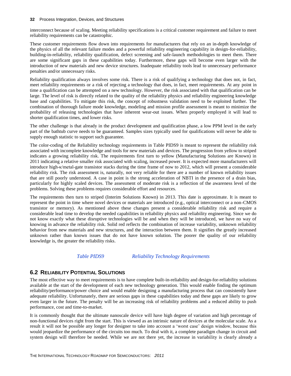interconnect because of scaling. Meeting reliability specifications is a critical customer requirement and failure to meet reliability requirements can be catastrophic.

These customer requirements flow down into requirements for manufacturers that rely on an in-depth knowledge of the physics of all the relevant failure modes and a powerful reliability engineering capability in design-for-reliability, building-in-reliability, reliability qualification, defect screening and safe-launch methodologies to meet them. There are some significant gaps in these capabilities today. Furthermore, these gaps will become even larger with the introduction of new materials and new device structures. Inadequate reliability tools lead to unnecessary performance penalties and/or unnecessary risks.

Reliability qualification always involves some risk. There is a risk of qualifying a technology that does not, in fact, meet reliability requirements or a risk of rejecting a technology that does, in fact, meet requirements. At any point in time a qualification can be attempted on a new technology. However, the risk associated with that qualification can be large. The level of risk is directly related to the quality of the reliability physics and reliability engineering knowledge base and capabilities. To mitigate this risk, the concept of robustness validation need to be exploited further. The combination of thorough failure mode knowledge, modeling and mission profile assessment is meant to minimize the probability of releasing technologies that have inherent wear-out issues. When properly employed it will lead to shorter qualification times, and lower risks.

The other challenge is that already in the product development and qualification phase, a low PPM level in the early part of the bathtub curve needs to be guaranteed. Samples sizes typically used for qualifications will never be able to supply enough statistic to support such guarantee.

The color-coding of the Reliability technology requirements in Table PIDS9 is meant to represent the reliability risk associated with incomplete knowledge and tools for new materials and devices. The progression from yellow to striped indicates a growing reliability risk. The requirements first turn to yellow (Manufacturing Solutions are Known) in 2011 indicating a relative smaller risk associated with scaling, increased power. It is expected more manufacturers will introduce high-κ/metal-gate transistor stacks during the time frame of now to 2012, which will present a considerable reliability risk. The risk assessment is, naturally, not very reliable for there are a number of known reliability issues that are still poorly understood. A case in point is the strong acceleration of NBTI in the presence of a drain bias, particularly for highly scaled devices. The assessment of moderate risk is a reflection of the awareness level of the problems. Solving these problems requires considerable effort and resources.

The requirements then turn to striped (Interim Solutions Known) in 2013. This date is approximate. It is meant to represent the point in time where novel devices or materials are introduced (e.g., optical interconnect or a non-CMOS transistor or memory). As mentioned above these changes present a considerable reliability risk and require a considerable lead time to develop the needed capabilities in reliability physics and reliability engineering. Since we do not know exactly what these disruptive technologies will be and when they will be introduced, we have no way of knowing in advance the reliability risk. Solid red reflects the combination of increase variability, unknown reliability behavior from new materials and new structures, and the interaction between them. It signifies the greatly increased unknown rather than known issues that do not have known solution. The poorer the quality of our reliability knowledge is, the greater the reliability risks.

#### *Table PIDS9 Reliability Technology Requirements*

# <span id="page-35-1"></span><span id="page-35-0"></span>**6.2 RELIABILITY POTENTIAL SOLUTIONS**

The most effective way to meet requirements is to have complete built-in-reliability and design-for-reliability solutions available at the start of the development of each new technology generation. This would enable finding the optimum reliability/performance/power choice and would enable designing a manufacturing process that can consistently have adequate reliability. Unfortunately, there are serious gaps in these capabilities today and these gaps are likely to grow even larger in the future. The penalty will be an increasing risk of reliability problems and a reduced ability to push performance, cost and time-to-market.

It is commonly thought that the ultimate nanoscale device will have high degree of variation and high percentage of non-functional devices right from the start. This is viewed as an intrinsic nature of devices at the molecular scale. As a result it will not be possible any longer for designer to take into account a 'worst case' design window, because this would jeopardize the performance of the circuits too much. To deal with it, a complete paradigm change in circuit and system design will therefore be needed. While we are not there yet, the increase in variability is clearly already a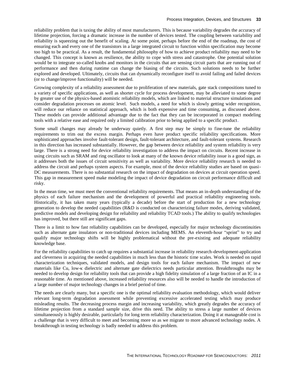reliability problem that is taxing the ability of most manufacturers. This is because variability degrades the accuracy of lifetime projection, forcing a dramatic increase in the number of devices tested. The coupling between variability and reliability is squeezing out the benefit of scaling. At some point, perhaps before the end of the roadmap, the cost of ensuring each and every one of the transistors in a large integrated circuit to function within specification may become too high to be practical. As a result, the fundamental philosophy of how to achieve product reliability may need to be changed. This concept is known as resilience, the ability to cope with stress and catastrophe. One potential solution would be to integrate so-called knobs and monitors in the circuits that are sensing circuit parts that are running out of performance and then during runtime can change the biasing of the circuits. Such solutions needs to be further explored and developed. Ultimately, circuits that can dynamically reconfigure itself to avoid failing and failed devices (or to change/improve functionality) will be needed.

Growing complexity of a reliability assessment due to proliferation of new materials, gate stack compositions tuned to a variety of specific applications, as well as shorter cycle for process development, may be alleviated to some degree by greater use of the physics-based atomistic reliability models, which are linked to material structure simulations and consider degradation processes on atomic level. Such models, a need for which is slowly getting wider recognition, will reduce our reliance on statistical approach, which is both expensive and time consuming, as discussed above. These models can provide additional advantage due to the fact that they can be incorporated in compact modeling tools with a relative ease and required only a limited calibration prior to being applied to a specific product.

Some small changes may already be underway quietly. A first step may be simply to fine-tune the reliability requirements to trim out the excess margin. Perhaps even have product specific reliability specifications. More sophisticated approaches involve fault-tolerant design, fault-tolerant architecture, and fault-tolerant systems. Research in this direction has increased substantially. However, the gap between device reliability and system reliability is very large. There is a strong need for device reliability investigation to address the impact on circuits. Recent increase in using circuits such as SRAM and ring oscillator to look at many of the known device reliability issue is a good sign, as it addresses both the issues of circuit sensitivity as well as variability. More device reliability research is needed to address the circuit and perhaps system aspects. For example, most of the device reliability studies are based on quasi-DC measurements. There is no substantial research on the impact of degradation on devices at circuit operation speed. This gap in measurement speed make modeling the impact of device degradation on circuit performance difficult and risky.

In the mean time, we must meet the conventional reliability requirements. That means an in-depth understanding of the physics of each failure mechanism and the development of powerful and practical reliability engineering tools. Historically, it has taken many years (typically a decade) before the start of production for a new technology generation to develop the needed capabilities (R&D is conducted on characterizing failure modes, deriving validated, predictive models and developing design for reliability and reliability TCAD tools.) The ability to qualify technologies has improved, but there still are significant gaps.

There is a limit to how fast reliability capabilities can be developed, especially for major technology discontinuities such as alternate gate insulators or non-traditional devices including MEMS. An eleventh-hour "sprint" to try and qualify major technology shifts will be highly problematical without the pre-existing and adequate reliability knowledge base.

For the reliability capabilities to catch up requires a substantial increase in reliability research-development-application and cleverness in acquiring the needed capabilities in much less than the historic time scales. Work is needed on rapid characterization techniques, validated models, and design tools for each failure mechanism. The impact of new materials like Cu, low-κ dielectric and alternate gate dielectrics needs particular attention. Breakthroughs may be needed to develop design for reliability tools that can provide a high fidelity simulation of a large fraction of an IC in a reasonable time. As mentioned above, increased reliability resources also will be needed to handle the introduction of a large number of major technology changes in a brief period of time.

The needs are clearly many, but a specific one is the optimal reliability evaluation methodology, which would deliver relevant long-term degradation assessment while preventing excessive accelerated testing which may produce misleading results. The decreasing process margin and increasing variability, which greatly degrades the accuracy of lifetime projection from a standard sample size, drive this need. The ability to stress a large number of devices simultaneously is highly desirable, particularly for long term reliability characterization. Doing it at manageable cost is a challenge that is very difficult to meet and becoming more so as we migrate to more advanced technology nodes. A breakthrough in testing technology is badly needed to address this problem.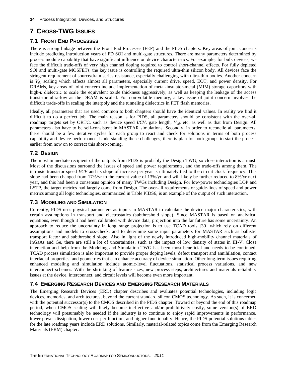# <span id="page-37-0"></span>**7 CROSS-TWG ISSUES**

# <span id="page-37-1"></span>**7.1 FRONT END PROCESSES**

There is strong linkage between the [Front End Processes \(FEP\)](file://io/Ng$/DATA/ITRS/2011/2011-Writing/2009_FEP.pdf) and the PIDS chapters. Key areas of joint concerns include predicting introduction years of FD SOI and multi-gate structures. There are many parameters determined by process module capability that have significant influence on device characteristics. For example, for bulk devices, we face the difficult trade-offs of very high channel doping required to control short-channel effects. For fully depleted SOI and multi-gate MOSFETs, the key issue is controlling the required ultra-thin silicon body. All devices face the stringent requirement of source/drain series resistance, especially challenging with ultra-thin bodies. Another concern is *V<sub>dd</sub>* scaling which affects almost all parameters, especially current drive, speed, EOT, and power density. For DRAMs, key areas of joint concern include implementation of metal-insulator-metal (MIM) storage capacitors with high-κ dielectric to scale the equivalent oxide thickness aggressively, as well as keeping the leakage of the access transistor ultra-low as the DRAM is scaled. For non-volatile memory, a key issue of joint concern involves the difficult trade-offs in scaling the interpoly and the tunneling dielectrics in FET flash memories.

Ideally, all parameters that are used common to both chapters should have the identical values. In reality we find it difficult to do a perfect job. The main reason is for PIDS, all parameters should be consistent with the over-all roadmap targets set by ORTC, such as device speed *I/CV*, gate length, *Vdd*, etc, as well as that from Design. All parameters also have to be self-consistent in MASTAR simulations. Secondly, in order to reconcile all parameters, there should be a few iterative cycles for each group to react and check for solutions in terms of both process capability and device performance. Understanding these challenges, there is plan for both groups to start the process earlier from now on to correct this short-coming.

# <span id="page-37-2"></span>**7.2 DESIGN**

The most immediate recipient of the outputs from PIDS is probably the Design TWG, so close interaction is a must. Most of the discussions surround the issues of speed and power requirements, and the trade-offs among them. The intrinsic transistor speed *I/CV* and its slope of increase per year is ultimately tied to the circuit clock frequency. This slope had been changed from 17%/yr to the current value of 13%/yr, and will likely be further reduced to 8%/yr next year, and this had been a consensus opinion of many TWGs including Design. For low-power technologies LOP and LSTP, the target metrics had largely come from Design. The over-all requirements or guide-lines of speed and power metrics among all logic technologies, summarized in Table PIDS6, is an example of the output of such interaction.

# <span id="page-37-3"></span>**7.3 MODELING AND SIMULATION**

Currently, PIDS uses physical parameters as inputs in MASTAR to calculate the device major characteristics, with certain assumptions in transport and electrostatics (subthreshold slope). Since MASTAR is based on analytical equations, even though it had been calibrated with device data, projection into the far future has some uncertainty. An approach to reduce the uncertainty in long range projection is to use TCAD tools [30] which rely on different assumptions and models to cross-check, and to determine some input parameters for MASTAR such as ballistic transport factor and subthreshold slope. Also in light of the newly introduced high-mobility channel materials of InGaAs and Ge, there are still a lot of uncertainties, such as the impact of low density of states in III-V. Close interaction and help from the Modeling and Simulation TWG has been most beneficial and needs to be continued. TCAD process simulation is also important to provide proper doping levels, defect transport and annihilation, contact interfacial properties, and geometries that can enhance accuracy of device simulation. Other long-term issues requiring enhanced modeling and simulation include atomic-level fluctuations, statistical process variations, and new interconnect schemes. With the shrinking of feature sizes, new process steps, architectures and materials reliability issues at the device, interconnect, and circuit levels will become even more important.

# <span id="page-37-4"></span>**7.4 EMERGING RESEARCH DEVICES AND EMERGING RESEARCH MATERIALS**

The [Emerging Research Devices \(ERD\) chapter](file://io/Ng$/DATA/ITRS/2011/2011-Writing/2009_ERD.pdf) describes and evaluates potential technologies, including logic devices, memories, and architectures, beyond the current standard silicon CMOS technology. As such, it is concerned with the potential successor(s) to the CMOS described in the PIDS chapter. Toward or beyond the end of this roadmap period, when CMOS scaling will likely become ineffective and/or prohibitively costly, some version(s) of ERD technology will presumably be needed if the industry is to continue to enjoy rapid improvements in performance, lower power dissipation, lower cost per function, and higher functionality. Hence, the PIDS potential solutions tables for the late roadmap years include ERD solutions. Similarly, material-related topics come from the [Emerging Research](file://io/Ng$/DATA/ITRS/2011/2011-Writing/2009_ERM.pdf)  [Materials \(ERM\) chapter.](file://io/Ng$/DATA/ITRS/2011/2011-Writing/2009_ERM.pdf)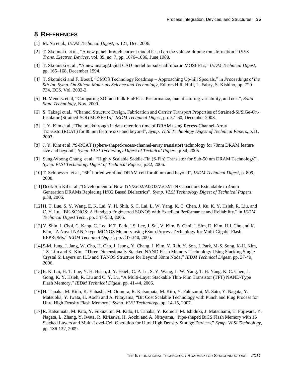# <span id="page-38-0"></span>**8 REFERENCES**

- [1] M. Na et al., *IEDM Technical Digest*, p. 121, Dec. 2006.
- [2] T. Skotnicki, et al., "A new punchthrough current model based on the voltage-doping transformation," *IEEE Trans. Electron Devices*, vol. 35, no. 7, pp. 1076–1086, June 1988.
- [3] T. Skotnicki et al., "A new analog/digital CAD model for sub-half micron MOSFETs," *IEDM Technical Digest*, pp. 165–168, December 1994.
- [4] T. Skotnicki and F. Boeuf, "CMOS Technology Roadmap Approaching Up-hill Specials," in *Proceedings of the 9th Int. Symp. On Silicon Materials Science and Technology*, Editors H.R. Huff, L. Fabry, S. Kishino, pp. 720– 734, ECS. Vol. 2002-2.
- [5] H. Mendez et al, "Comparing SOI and bulk FinFETs: Performance, manufacturing variability, and cost", *Solid State Technology*, Nov. 2009.
- [6] S. Takagi et al., "Channel Structure Design, Fabrication and Carrier Transport Properties of Strained-Si/SiGe-On-Insulator (Strained-SOI) MOSFETs," *IEDM Technical Digest*, pp. 57–60, December 2003.
- [7] J. Y. Kim et al.,"The breakthrough in data retention time of DRAM using Recess-Channel-Array Transistor(RCAT) for 88 nm feature size and beyond", *Symp. VLSI Technology Digest of Technical Papers,* p.11, 2003.
- [8] J. Y. Kim et al.,"S-RCAT (sphere-shaped-recess-channel-array transistor) technology for 70nm DRAM feature size and beyond", *Symp. VLSI Technology Digest of Technical Papers,* p.34, 2005.
- [9] Sung-Woong Chung et al., "Highly Scalable Saddle-Fin (S-Fin) Transistor for Sub-50 nm DRAM Technology", *Symp. VLSI Technology Digest of Technical Papers,* p.32, 2006.
- [10] T. Schloesser et al., "6F<sup>2</sup> buried wordline DRAM cell for 40 nm and beyond", *IEDM Technical Digest*, p. 809, 2008.
- [11]Deok-Sin Kil et al.,"Development of New TiN/ZrO2/Al2O3/ZrO2/TiN Capacitors Extendable to 45nm Generation DRAMs Replacing HfO2 Based Dielectrics", *Symp. VLSI Technology Digest of Technical Papers,* p.38, 2006.
- [12]H. T. Lue, S. Y. Wang, E. K. Lai, Y. H. Shih, S. C. Lai, L. W. Yang, K. C. Chen, J. Ku, K. Y. Hsieh, R. Liu, and C. Y. Lu, "BE-SONOS: A Bandgap Engineered SONOS with Excellent Performance and Reliability," in *IEDM Technical Digest Tech.*, pp. 547-550, 2005.
- [13]Y. Shin, J. Choi, C. Kang, C. Lee, K.T. Park, J.S. Lee, J. Sel, V. Kim, B. Choi, J. Sim, D. Kim, H.J. Cho and K. Kim, "A Novel NAND-type MONOS Memory using 63nm Process Technology for Multi-Gigabit Flash EEPROMs," *IEDM Technical Digest*, pp. 337-340, 2005.
- [14]S-M. Jung, J. Jang, W. Cho, H. Cho, J. Jeong, Y. Chang, J. Kim, Y. Rah, Y. Son, J. Park, M-S. Song, K-H. Kim, J-S. Lim and K. Kim, "Three Dimensionally Stacked NAND Flash Memory Technology Using Stacking Single Crystal Si Layers on ILD and TANOS Structure for Beyond 30nm Node," *IEDM Technical Digest*, pp. 37-40, 2006.
- [15]E. K. Lai, H. T. Lue, Y. H. Hsiao, J. Y. Hsieh, C. P. Lu, S. Y. Wang, L. W. Yang, T. H. Yang, K. C. Chen, J. Gong, K. Y. Hsieh, R. Liu and C. Y. Lu, "A Multi-Layer Stackable Thin-Film Transistor (TFT) NAND-Type Flash Memory," *IEDM Technical Digest*, pp. 41-44, 2006.
- [16]H. Tanaka, M. Kido, K. Yahashi, M. Oomura, R. Katsumata, M. Kito, Y. Fukuzumi, M. Sato, Y. Nagata, Y. Matsuoka, Y. Iwata, H. Aochi and A. Nitayama, "Bit Cost Scalable Technology with Punch and Plug Process for Ultra High Density Flash Memory," *Symp. VLSI Technology*, pp. 14-15, 2007.
- [17]R. Katsumata, M. Kito, Y. Fukuzumi, M. Kido, H. Tanaka, Y. Komori, M. Ishiduki, J. Matsunami, T. Fujiwara, Y. Nagata, L. Zhang, Y. Iwata, R. Kirisawa, H. Aochi and A. Nitayama, "Pipe-shaped BiCS Flash Memory with 16 Stacked Layers and Multi-Level-Cell Operation for Ultra High Density Storage Devices," *Symp. VLSI Technology,* pp. 136-137, 2009.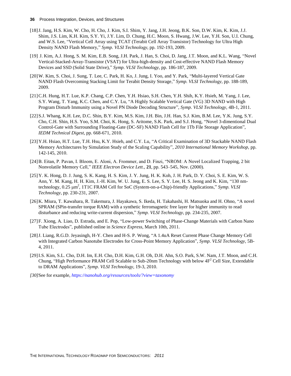- [18]J. Jang, H.S. Kim, W. Cho, H. Cho, J. Kim, S.I. Shim, Y. Jang, J.H. Jeong, B.K. Son, D.W. Kim, K. Kim, J.J. Shim, J.S. Lim, K.H. Kim, S.Y. Yi, J.Y. Lim, D. Chung, H.C. Moon, S. Hwang, J.W. Lee, Y.H. Son, U.I. Chung, and W.S. Lee, "Vertical Cell Array using TCAT (Terabit Cell Array Transistor) Technology for Ultra High Density NAND Flash Memory," *Symp. VLSI Technology,* pp. 192-193, 2009.
- [19] J. Kim, A.J. Hong, S. M. Kim, E.B. Song, J.H. Park, J. Han, S. Choi, D. Jang, J.T. Moon, and K.L. Wang, "Novel Vertical-Stacked-Array-Transistor (VSAT) for Ultra-high-density and Cost-effective NAND Flash Memory Devices and SSD (Solid State Drive)," *Symp. VLSI Technology,* pp. 186-187, 2009.
- [20]W. Kim, S. Choi, J. Sung, T. Lee, C. Park, H. Ko, J. Jung, I. Yoo, and Y. Park, "Multi-layered Vertical Gate NAND Flash Overcoming Stacking Limit for Terabit Density Storage," *Symp. VLSI Technology,* pp. 188-189, 2009.
- [21]C.H. Hung, H.T. Lue, K.P. Chang, C.P. Chen, Y.H. Hsiao, S.H. Chen, Y.H. Shih, K.Y. Hsieh, M. Yang, J. Lee, S.Y. Wang, T. Yang, K.C. Chen, and C.Y. Lu, "A Highly Scalable Vertical Gate (VG) 3D NAND with High Program Disturb Immunity using a Novel PN Diode Decoding Structure", *Symp. VLSI Technology,* 4B-1, 2011.
- [22]S.J. Whang, K.H. Lee, D.C. Shin, B.Y. Kim, M.S. Kim, J.H. Bin, J.H. Han, S.J. Kim, B.M. Lee, Y.K. Jung, S.Y. Cho, C.H. Shin, H.S. Yoo, S.M. Choi, K. Hong, S. Aritome, S.K. Park, and S.J. Hong, "Novel 3-dimentional Dual Control-Gate with Surrounding Floating-Gate (DC-SF) NAND Flash Cell for 1Tb File Storage Application", *IEDM Technical Digest,* pp. 668-671, 2010.
- [23]Y.H. Hsiao, H.T. Lue, T.H. Hsu, K.Y. Hsieh, and C.Y. Lu, "A Critical Examination of 3D Stackable NAND Flash Memory Architectures by Simulation Study of the Scaling Capability", *2010 International Memory Workshop,* pp. 142-145, 2010.
- [24]B. Eitan, P. Pavan, I. Bloom, E. Aloni, A. Frommer, and D. Finzi, "NROM: A Novel Localized Trapping, 2 bit Nonvolatile Memory Cell," *IEEE Electron Device Lett.,* **21**, pp. 543–545, Nov. (2000).
- [25]Y. K. Hong, D. J. Jung, S. K. Kang, H. S. Kim, J. Y. Jung, H. K. Koh, J. H. Park, D. Y. Choi, S. E. Kim, W. S. Ann, Y. M. Kang, H. H. Kim, J.-H. Kim, W. U. Jung, E. S. Lee, S. Y. Lee, H. S. Jeong and K. Kim, "130 nmtechnology, 0.25 μm<sup>2</sup>, 1T1C FRAM Cell for SoC (System-on-a-Chip)-friendly Applications," Symp. VLSI *Technology*, pp. 230-231, 2007.
- [26]K. Miura, T. Kawahara, R. Takemura, J. Hayakawa, S. Ikeda, H. Takahashi, H. Matsuoka and H. Ohno, "A novel SPRAM (SPin-transfer torque RAM) with a synthetic ferromagnetic free layer for higher immunity to read disturbance and reducing write-current dispersion," *Symp. VLSI Technology*, pp. 234-235, 2007.
- [27]F. Xiong, A. Liao, D. Estrada, and E. Pop, "Low-power Switching of Phase-Change Materials with Carbon Nano Tube Electrodes", published online in *Science Express,* March 10th, 2011.
- [28]J. Liang, R.G.D. Jeyasingh, H-Y. Chen and H-S. P. Wong, "A 1.4uA Reset Current Phase Change Memory Cell with Integrated Carbon Nanotube Electrodes for Cross-Point Memory Application", *Symp. VLSI Technology,* 5B-4, 2011.
- [29]I.S. Kim, S.L. Cho, D.H. Im, E.H. Cho, D.H. Kim, G.H. Oh, D.H. Ahn, S.O. Park, S.W. Nam, J.T. Moon, and C.H. Chung, "High Performance PRAM Cell Scalable to Sub-20nm Technology with below  $4F<sup>2</sup>$  Cell Size, Extendable to DRAM Applications", *Symp. VLSI Technology,* 19-3, 2010.
- *[30]*See for example, *<https://nanohub.org/resources/tools/?view=taxonomy>*